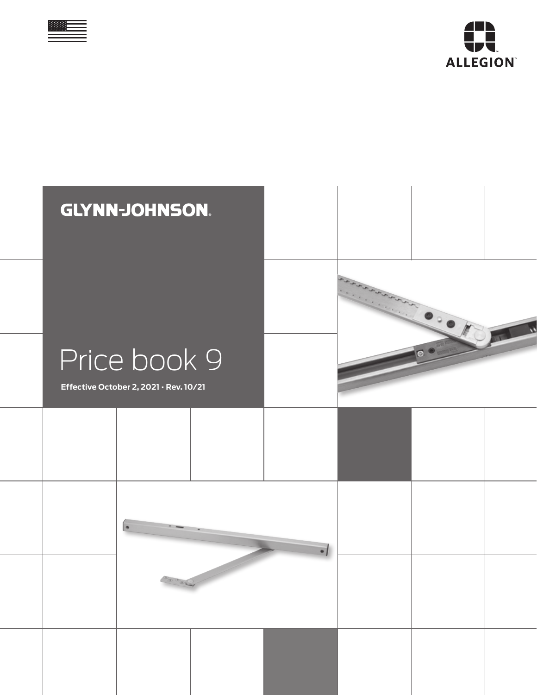



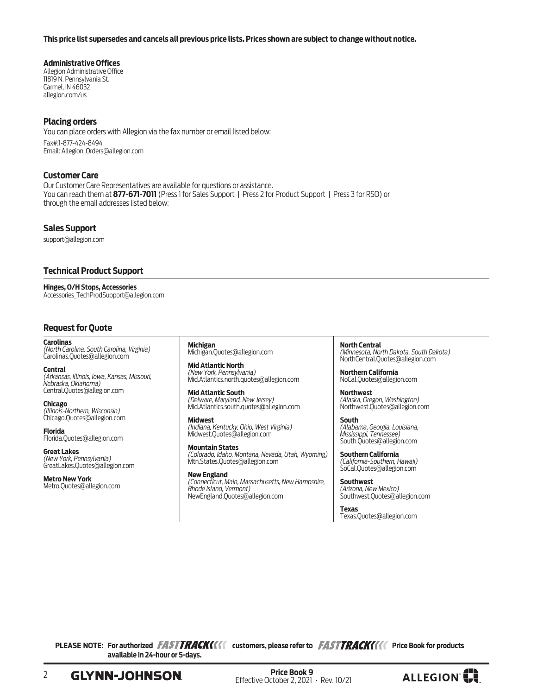#### <span id="page-1-0"></span>**This price list supersedes and cancels all previous price lists. Prices shown are subject to change without notice.**

#### **Administrative Offices**

Allegion Administrative Office 11819 N. Pennsylvania St. Carmel, IN 46032 allegion.com/us

#### **Placing orders**

You can place orders with Allegion via the fax number or email listed below: Fax#:1-877-424-8494 Email: Allegion\_Orders@allegion.com

#### **Customer Care**

Our Customer Care Representatives are available for questions or assistance. You can reach them at **877-671-7011** (Press 1 for Sales Support | Press 2 for Product Support | Press 3 for RSO) or through the email addresses listed below:

#### **Sales Support**

support@allegion.com

#### **Technical Product Support**

**Hinges, O/H Stops, Accessories** Accessories\_TechProdSupport@allegion.com

#### **Request for Quote**

**Carolinas** *(North Carolina, South Carolina, Virginia)*  Carolinas.Quotes@allegion.com

**Central**  *(Arkansas, Illinois, Iowa, Kansas, Missouri, Nebraska, Oklahoma)* Central.Quotes@allegion.com

**Chicago**  *(Illinois-Northern, Wisconsin)* Chicago.Quotes@allegion.com

**Florida** Florida.Quotes@allegion.com

**Great Lakes**  *(New York, Pennsylvania)* GreatLakes.Quotes@allegion.com

**Metro New York** Metro.Quotes@allegion.com **Michigan** Michigan.Quotes@allegion.com

**Mid Atlantic North** *(New York, Pennsylvania)* Mid.Atlantics.north.quotes@allegion.com

**Mid Atlantic South** *(Delware, Maryland, New Jersey)* Mid.Atlantics.south.quotes@allegion.com

**Midwest** *(Indiana, Kentucky, Ohio, West Virginia)* Midwest.Quotes@allegion.com

**Mountain States**  *(Colorado, Idaho, Montana, Nevada, Utah, Wyoming)* Mtn.States.Quotes@allegion.com

**New England** *(Connecticut, Main, Massachusetts, New Hampshire, Rhode Island, Vermont)* NewEngland.Quotes@allegion.com

**North Central**  *(Minnesota, North Dakota, South Dakota)* NorthCentral.Quotes@allegion.com

**Northern California**  NoCal.Quotes@allegion.com

**Northwest** *(Alaska, Oregon, Washington)* Northwest.Quotes@allegion.com

**South** *(Alabama, Georgia, Louisiana, Mississippi, Tennessee)* South.Quotes@allegion.com

**Southern California**  *(California-Southern, Hawaii)* SoCal.Quotes@allegion.com

**Southwest**  *(Arizona, New Mexico)* Southwest.Quotes@allegion.com

**Texas** Texas.Quotes@allegion.com

**PLEASE NOTE: For authorized FASTTRACK(III** customers, please refer to FASTTRACK(III Price Book for products **available in 24-hour or 5-days.** 

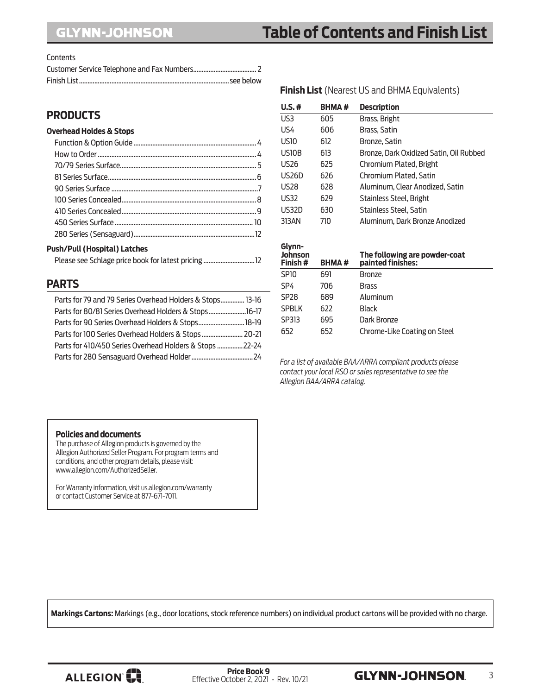| Lontents |  |
|----------|--|
|          |  |
|          |  |

#### **[PRODUCTS](#page-3-0)**

Contents

| <b>Overhead Holdes &amp; Stops</b> |  |  |
|------------------------------------|--|--|
|------------------------------------|--|--|

#### **[Push/Pull \(Hospital\) Latches](#page-10-0)**

| Please see Schlage price book for latest pricing 12 |
|-----------------------------------------------------|
|-----------------------------------------------------|

#### **[PARTS](#page-11-0)**

| Parts for 79 and 79 Series Overhead Holders & Stops 13-16 |  |
|-----------------------------------------------------------|--|
| Parts for 80/81 Series Overhead Holders & Stops16-17      |  |
| Parts for 90 Series Overhead Holders & Stops18-19         |  |
| Parts for 100 Series Overhead Holders & Stops 20-21       |  |
| Parts for 410/450 Series Overhead Holders & Stops  22-24  |  |
|                                                           |  |

| <b>BHMA#</b> | <b>Description</b>                      |
|--------------|-----------------------------------------|
| 605          | Brass, Bright                           |
| 606          | Brass, Satin                            |
| 612          | Bronze, Satin                           |
| 613          | Bronze, Dark Oxidized Satin, Oil Rubbed |
| 625          | Chromium Plated, Bright                 |
| 626          | Chromium Plated, Satin                  |
| 628          | Aluminum, Clear Anodized, Satin         |
| 629          | Stainless Steel, Bright                 |
| 630          | Stainless Steel, Satin                  |
| 710          | Aluminum, Dark Bronze Anodized          |
|              |                                         |

| Glynn-<br><b>Johnson</b><br>Finish# | <b>BHMA#</b> | The following are powder-coat<br>painted finishes: |
|-------------------------------------|--------------|----------------------------------------------------|
| SP <sub>10</sub>                    | 691          | <b>Bronze</b>                                      |
| SP4                                 | 706          | <b>Brass</b>                                       |
| SP <sub>28</sub>                    | 689          | Aluminum                                           |
| <b>SPBLK</b>                        | 622          | <b>Black</b>                                       |
| SP313                               | 695          | Dark Bronze                                        |
| 652                                 | 652          | Chrome-Like Coating on Steel                       |
|                                     |              |                                                    |

*For a list of available BAA/ARRA compliant products please contact your local RSO or sales representative to see the Allegion BAA/ARRA catalog.*

#### **Policies and documents**

The purchase of Allegion products is governed by the Allegion Authorized Seller Program. For program terms and conditions, and other program details, please visit: www.allegion.com/AuthorizedSeller.

For Warranty information, visit us.allegion.com/warranty or contact Customer Service at 877-671-7011.

**Markings Cartons:** Markings (e.g., door locations, stock reference numbers) on individual product cartons will be provided with no charge.

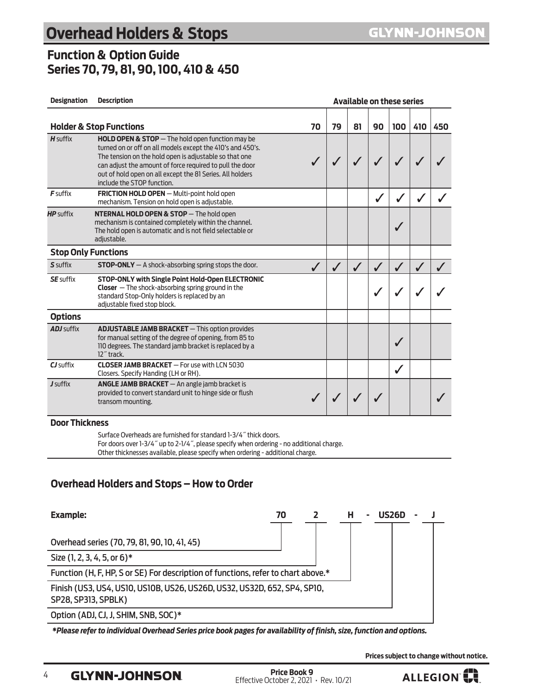### <span id="page-3-0"></span>**Function & Option Guide Series 70, 79, 81, 90, 100, 410 & 450**

| <b>Designation</b>         | <b>Description</b>                                                                                                                                                                                                                                                                                                              | <b>Available on these series</b> |    |    |    |              |     |     |
|----------------------------|---------------------------------------------------------------------------------------------------------------------------------------------------------------------------------------------------------------------------------------------------------------------------------------------------------------------------------|----------------------------------|----|----|----|--------------|-----|-----|
|                            | <b>Holder &amp; Stop Functions</b>                                                                                                                                                                                                                                                                                              | 70                               | 79 | 81 | 90 | 100          | 410 | 450 |
| H suffix                   | HOLD OPEN & STOP - The hold open function may be<br>turned on or off on all models except the 410's and 450's.<br>The tension on the hold open is adjustable so that one<br>can adjust the amount of force required to pull the door<br>out of hold open on all except the 81 Series. All holders<br>include the STOP function. |                                  |    |    |    |              |     |     |
| $F$ suffix                 | FRICTION HOLD OPEN - Multi-point hold open<br>mechanism. Tension on hold open is adjustable.                                                                                                                                                                                                                                    |                                  |    |    |    |              |     |     |
| <b>HP</b> suffix           | NTERNAL HOLD OPEN & STOP - The hold open<br>mechanism is contained completely within the channel.<br>The hold open is automatic and is not field selectable or<br>adjustable.                                                                                                                                                   |                                  |    |    |    |              |     |     |
| <b>Stop Only Functions</b> |                                                                                                                                                                                                                                                                                                                                 |                                  |    |    |    |              |     |     |
| S suffix                   | <b>STOP-ONLY</b> $-$ A shock-absorbing spring stops the door.                                                                                                                                                                                                                                                                   |                                  |    |    |    |              |     |     |
| <b>SE</b> suffix           | STOP-ONLY with Single Point Hold-Open ELECTRONIC<br><b>Closer</b> $-$ The shock-absorbing spring ground in the<br>standard Stop-Only holders is replaced by an<br>adjustable fixed stop block.                                                                                                                                  |                                  |    |    |    |              |     |     |
| <b>Options</b>             |                                                                                                                                                                                                                                                                                                                                 |                                  |    |    |    |              |     |     |
| <b>ADJ</b> suffix          | <b>ADJUSTABLE JAMB BRACKET</b> - This option provides<br>for manual setting of the degree of opening, from 85 to<br>110 degrees. The standard jamb bracket is replaced by a<br>12" track.                                                                                                                                       |                                  |    |    |    |              |     |     |
| CJ suffix                  | <b>CLOSER JAMB BRACKET - For use with LCN 5030</b><br>Closers. Specify Handing (LH or RH).                                                                                                                                                                                                                                      |                                  |    |    |    | $\checkmark$ |     |     |
| <i>J</i> suffix            | <b>ANGLE JAMB BRACKET</b> $-$ An angle jamb bracket is<br>provided to convert standard unit to hinge side or flush<br>transom mounting.                                                                                                                                                                                         |                                  |    |    |    |              |     |     |

#### **Door Thickness**

Surface Overheads are furnished for standard 1-3/4˝ thick doors. For doors over 1-3/4˝ up to 2-1/4˝, please specify when ordering - no additional charge. Other thicknesses available, please specify when ordering - additional charge.

#### **Overhead Holders and Stops – How to Order**



*\*Please refer to individual Overhead Series price book pages for availability of finish, size, function and options.*

 **Prices subject to change without notice.**

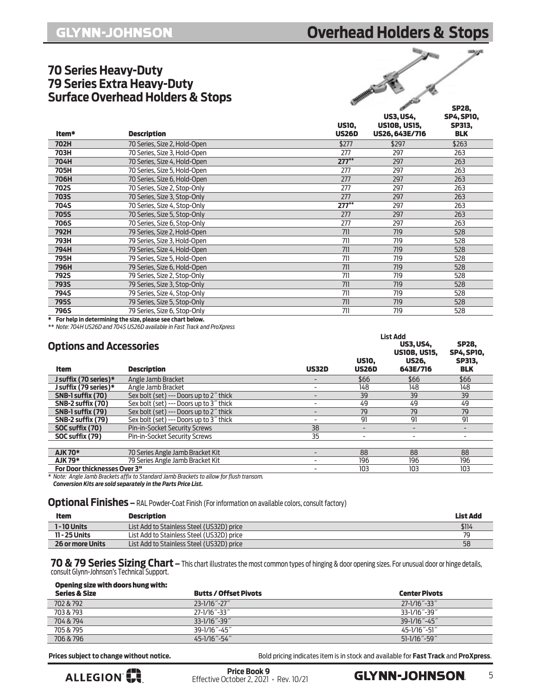## **Overhead Holders & Stops**

#### <span id="page-4-0"></span>**70 Series Heavy-Duty 79 Series Extra Heavy-Duty Surface Overhead Holders & Stops**



|             |                              | <b>US10,</b> | <b>US3, US4,</b><br><b>US10B, US15,</b> | <b>SP4, SP10,</b><br><b>SP313,</b> |
|-------------|------------------------------|--------------|-----------------------------------------|------------------------------------|
| Item*       | <b>Description</b>           | <b>US26D</b> | US26, 643E/716                          | <b>BLK</b>                         |
| 702H        | 70 Series, Size 2, Hold-Open | \$277        | \$297                                   | \$263                              |
| 703H        | 70 Series, Size 3, Hold-Open | 277          | 297                                     | 263                                |
| 704H        | 70 Series, Size 4, Hold-Open | $277**$      | 297                                     | 263                                |
| 705H        | 70 Series, Size 5, Hold-Open | 277          | 297                                     | 263                                |
| 706H        | 70 Series, Size 6, Hold-Open | 277          | 297                                     | 263                                |
| <b>702S</b> | 70 Series, Size 2, Stop-Only | 277          | 297                                     | 263                                |
| <b>703S</b> | 70 Series, Size 3, Stop-Only | 277          | 297                                     | 263                                |
| 704S        | 70 Series, Size 4, Stop-Only | $277**$      | 297                                     | 263                                |
| <b>705S</b> | 70 Series, Size 5, Stop-Only | 277          | 297                                     | 263                                |
| 706S        | 70 Series, Size 6, Stop-Only | 277          | 297                                     | 263                                |
| 792H        | 79 Series, Size 2, Hold-Open | 711          | 719                                     | 528                                |
| 793H        | 79 Series, Size 3, Hold-Open | 711          | 719                                     | 528                                |
| 794H        | 79 Series, Size 4, Hold-Open | 711          | 719                                     | 528                                |
| 795H        | 79 Series, Size 5, Hold-Open | 711          | 719                                     | 528                                |
| 796H        | 79 Series, Size 6, Hold-Open | 711          | 719                                     | 528                                |
| <b>792S</b> | 79 Series, Size 2, Stop-Only | 711          | 719                                     | 528                                |
| <b>793S</b> | 79 Series, Size 3, Stop-Only | 711          | 719                                     | 528                                |
| 794S        | 79 Series, Size 4, Stop-Only | 711          | 719                                     | 528                                |
| 795S        | 79 Series, Size 5, Stop-Only | 711          | 719                                     | 528                                |
| 796S        | 79 Series, Size 6, Stop-Only | 711          | 719                                     | 528                                |
|             |                              |              |                                         |                                    |

**\* For help in determining the size, please see chart below.**

*\*\* Note: 704H US26D and 704S US26D available in Fast Track and ProXpress*

| <b>Options and Accessories</b>          |                          |                              | <b>US3, US4,</b><br><b>US10B, US15,</b> | <b>SP28,</b><br><b>SP4, SP10,</b><br><b>SP313,</b> |
|-----------------------------------------|--------------------------|------------------------------|-----------------------------------------|----------------------------------------------------|
| <b>Description</b>                      | <b>US32D</b>             | <b>US26D</b>                 | 643E/716                                | <b>BLK</b>                                         |
| Angle Jamb Bracket                      |                          | \$66                         | \$66                                    | \$66                                               |
| Angle Jamb Bracket                      |                          | 148                          | 148                                     | 148                                                |
| Sex bolt (set) --- Doors up to 2" thick |                          | 39                           | 39                                      | 39                                                 |
| Sex bolt (set) --- Doors up to 3" thick |                          | 49                           | 49                                      | 49                                                 |
| Sex bolt (set) --- Doors up to 2" thick |                          | 79                           | 79                                      | 79                                                 |
| Sex bolt (set) --- Doors up to 3" thick |                          | 91                           | 91                                      | 91                                                 |
| Pin-in-Socket Security Screws           | 38                       | $\qquad \qquad \blacksquare$ | $\overline{\phantom{a}}$                |                                                    |
| Pin-in-Socket Security Screws           | 35                       | ٠                            | $\overline{\phantom{a}}$                |                                                    |
|                                         |                          |                              |                                         |                                                    |
| 70 Series Angle Jamb Bracket Kit        | $\overline{\phantom{a}}$ | 88                           | 88                                      | 88                                                 |
| 79 Series Angle Jamb Bracket Kit        |                          | 196                          | 196                                     | 196                                                |
| For Door thicknesses Over 3"            |                          | 103                          | 103                                     | 103                                                |
|                                         |                          |                              | <b>US10.</b>                            | <b>List Add</b><br><b>US26.</b>                    |

*\* Note: Angle Jamb Brackets affix to Standard Jamb Brackets to allow for flush transom.*

*Conversion Kits are sold separately in the Parts Price List.*

#### **Optional Finishes** – RAL Powder-Coat Finish (For information on available colors, consult factory)

| Item                    | <b>Description</b>                        | <b>List Add</b> |
|-------------------------|-------------------------------------------|-----------------|
| 1 - 10 Units            | List Add to Stainless Steel (US32D) price | \$114           |
| 11 - 25 Units           | List Add to Stainless Steel (US32D) price | 79              |
| <b>26 or more Units</b> | List Add to Stainless Steel (US32D) price | 58              |

#### **70 & 79 Series Sizing Chart –** This chart illustrates the most common types of hinging & door opening sizes. For unusual door or hinge details, consult Glynn-Johnson's Technical Support.

Opening size with doors hung with:

| <b>Series &amp; Size</b> | <b>Butts / Offset Pivots</b> | <b>Center Pivots</b> |
|--------------------------|------------------------------|----------------------|
| 702 & 792                | $23 - 1/16$ " $-27$ "        | 27-1/16"-33"         |
| 703 & 793                | 27-1/16"-33"                 | 33-1/16"-39"         |
| 704 & 794                | 33-1/16"-39"                 | 39-1/16"-45"         |
| 705 & 795                | 39-1/16"-45"                 | 45-1/16"-51"         |
| 706 & 796                | 45-1/16"-54"                 | $51 - 1/16$ "-59"    |

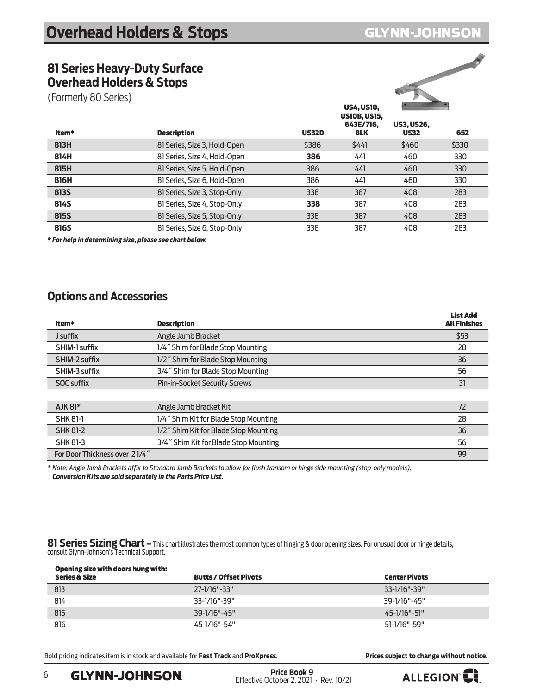<span id="page-5-0"></span>(Formerly 80 Series)

US4, US10,



| Item*       | <b>Description</b>           | <b>US32D</b> | U34, U31U,<br><b>US10B, US15.</b><br>643E/716,<br><b>BLK</b> | <b>US3.US26.</b><br><b>US32</b> | 652   |
|-------------|------------------------------|--------------|--------------------------------------------------------------|---------------------------------|-------|
| 813H        | 81 Series, Size 3, Hold-Open | \$386        | \$441                                                        | \$460                           | \$330 |
| 814H        | 81 Series, Size 4, Hold-Open | 386          | 441                                                          | 460                             | 330   |
| 815H        | 81 Series, Size 5, Hold-Open | 386          | 441                                                          | 460                             | 330   |
| 816H        | 81 Series, Size 6, Hold-Open | 386          | 441                                                          | 460                             | 330   |
| <b>813S</b> | 81 Series, Size 3, Stop-Only | 338          | 387                                                          | 408                             | 283   |
| <b>814S</b> | 81 Series, Size 4, Stop-Only | 338          | 387                                                          | 408                             | 283   |
| <b>815S</b> | 81 Series, Size 5, Stop-Only | 338          | 387                                                          | 408                             | 283   |
| 816S        | 81 Series, Size 6, Stop-Only | 338          | 387                                                          | 408                             | 283   |
|             |                              |              |                                                              |                                 |       |

*\* For help in determining size, please see chart below.*

#### **Options and Accessories**

| Item*                         | <b>Description</b>                    | <b>List Add</b><br><b>All Finishes</b> |  |
|-------------------------------|---------------------------------------|----------------------------------------|--|
| J suffix                      | Angle Jamb Bracket                    | \$53                                   |  |
| SHIM-1 suffix                 | 1/4" Shim for Blade Stop Mounting     | 28                                     |  |
| SHIM-2 suffix                 | 1/2" Shim for Blade Stop Mounting     | 36                                     |  |
| SHIM-3 suffix                 | 3/4" Shim for Blade Stop Mounting     | 56                                     |  |
| <b>SOC suffix</b>             | <b>Pin-in-Socket Security Screws</b>  | 31                                     |  |
|                               |                                       |                                        |  |
| $AIK 81*$                     | Angle Jamb Bracket Kit                | 72                                     |  |
| <b>SHK 81-1</b>               | 1/4" Shim Kit for Blade Stop Mounting | 28                                     |  |
| <b>SHK 81-2</b>               | 1/2" Shim Kit for Blade Stop Mounting | 36                                     |  |
| <b>SHK 81-3</b>               | 3/4" Shim Kit for Blade Stop Mounting | 56                                     |  |
| For Door Thickness over 21/4" |                                       | 99                                     |  |
|                               |                                       |                                        |  |

*\* Note: Angle Jamb Brackets affix to Standard Jamb Brackets to allow for flush transom or hinge side mounting (stop-only models). Conversion Kits are sold separately in the Parts Price List.*

**81 Series Sizing Chart –** This chart illustrates the most common types of hinging & door opening sizes. For unusual door or hinge details, consult Glynn-Johnson's Technical Support.

| Opening size with doors hung with:<br><b>Series &amp; Size</b> | <b>Butts / Offset Pivots</b> | <b>Center Pivots</b> |
|----------------------------------------------------------------|------------------------------|----------------------|
| 813                                                            | $77 - 1/16" - 33"$           | $33 - 1/16" - 39"$   |
| 814                                                            | 33-1/16"-39"                 | $39 - 1/16" - 45"$   |
| 815                                                            | $39 - 1/16" - 45"$           | $45 - 1/16" - 51"$   |
| 816                                                            | 45-1/16"-54"                 | 51-1/16"-59"         |
|                                                                |                              |                      |

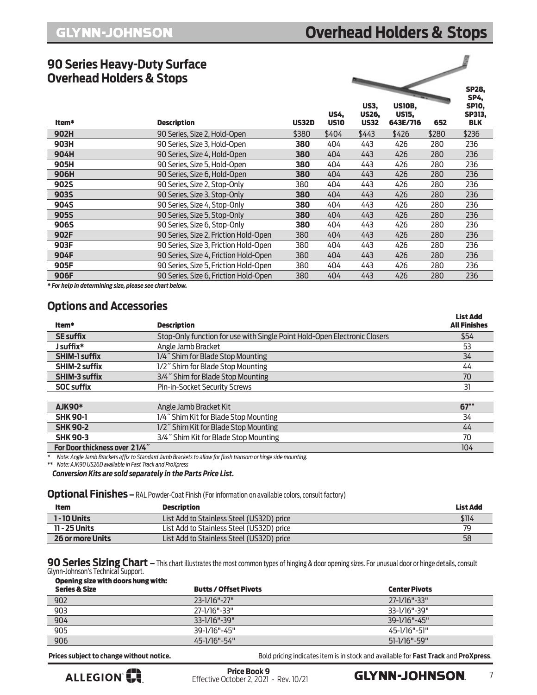## <span id="page-6-0"></span> **Overhead Holders & Stops**

### **90 Series Heavy-Duty Surface Overhead Holders & Stops**

| <b>Overhead Holders &amp; Stops</b> |                                       |              |                            |                                            |                                           |       | <b>SP28,</b>                                               |  |
|-------------------------------------|---------------------------------------|--------------|----------------------------|--------------------------------------------|-------------------------------------------|-------|------------------------------------------------------------|--|
| Item*                               | <b>Description</b>                    | <b>US32D</b> | <b>US4,</b><br><b>US10</b> | <b>US3,</b><br><b>US26,</b><br><b>US32</b> | <b>US10B,</b><br><b>US15,</b><br>643E/716 | 652   | <b>SP4,</b><br><b>SP10,</b><br><b>SP313,</b><br><b>BLK</b> |  |
| 902H                                | 90 Series, Size 2, Hold-Open          | \$380        | \$404                      | \$443                                      | \$426                                     | \$280 | \$236                                                      |  |
| 903H                                | 90 Series, Size 3, Hold-Open          | 380          | 404                        | 443                                        | 426                                       | 280   | 236                                                        |  |
| 904H                                | 90 Series, Size 4, Hold-Open          | 380          | 404                        | 443                                        | 426                                       | 280   | 236                                                        |  |
| 905H                                | 90 Series, Size 5, Hold-Open          | 380          | 404                        | 443                                        | 426                                       | 280   | 236                                                        |  |
| 906H                                | 90 Series, Size 6, Hold-Open          | 380          | 404                        | 443                                        | 426                                       | 280   | 236                                                        |  |
| <b>902S</b>                         | 90 Series, Size 2, Stop-Only          | 380          | 404                        | 443                                        | 426                                       | 280   | 236                                                        |  |
| <b>903S</b>                         | 90 Series, Size 3, Stop-Only          | 380          | 404                        | 443                                        | 426                                       | 280   | 236                                                        |  |
| <b>904S</b>                         | 90 Series, Size 4, Stop-Only          | 380          | 404                        | 443                                        | 426                                       | 280   | 236                                                        |  |
| <b>905S</b>                         | 90 Series, Size 5, Stop-Only          | 380          | 404                        | 443                                        | 426                                       | 280   | 236                                                        |  |
| 906S                                | 90 Series, Size 6, Stop-Only          | 380          | 404                        | 443                                        | 426                                       | 280   | 236                                                        |  |
| 902F                                | 90 Series, Size 2, Friction Hold-Open | 380          | 404                        | 443                                        | 426                                       | 280   | 236                                                        |  |
| 903F                                | 90 Series, Size 3, Friction Hold-Open | 380          | 404                        | 443                                        | 426                                       | 280   | 236                                                        |  |
| 904F                                | 90 Series, Size 4, Friction Hold-Open | 380          | 404                        | 443                                        | 426                                       | 280   | 236                                                        |  |
| 905F                                | 90 Series, Size 5, Friction Hold-Open | 380          | 404                        | 443                                        | 426                                       | 280   | 236                                                        |  |
| 906F                                | 90 Series, Size 6, Friction Hold-Open | 380          | 404                        | 443                                        | 426                                       | 280   | 236                                                        |  |
|                                     |                                       |              |                            |                                            |                                           |       |                                                            |  |

*\* For help in determining size, please see chart below.*

### **Options and Accessories**

| Item*                         | <b>Description</b>                                                        | List Add<br><b>All Finishes</b> |
|-------------------------------|---------------------------------------------------------------------------|---------------------------------|
| <b>SE suffix</b>              | Stop-Only function for use with Single Point Hold-Open Electronic Closers | \$54                            |
| J suffix*                     | Angle Jamb Bracket                                                        | 53                              |
| <b>SHIM-1 suffix</b>          | 1/4" Shim for Blade Stop Mounting                                         | 34                              |
| SHIM-2 suffix                 | 1/2" Shim for Blade Stop Mounting                                         | 44                              |
| SHIM-3 suffix                 | 3/4" Shim for Blade Stop Mounting                                         | 70                              |
| <b>SOC suffix</b>             | Pin-in-Socket Security Screws                                             | 31                              |
|                               |                                                                           |                                 |
| <b>AJK90*</b>                 | Angle Jamb Bracket Kit                                                    | $67***$                         |
| <b>SHK 90-1</b>               | 1/4" Shim Kit for Blade Stop Mounting                                     | 34                              |
| <b>SHK 90-2</b>               | 1/2" Shim Kit for Blade Stop Mounting                                     | 44                              |
| <b>SHK 90-3</b>               | 3/4" Shim Kit for Blade Stop Mounting                                     | 70                              |
| For Door thickness over 21/4" |                                                                           | 104                             |

*\* Note: Angle Jamb Brackets affix to Standard Jamb Brackets to allow for flush transom or hinge side mounting.*

*\*\* Note: AJK90 US26D available in Fast Track and ProXpress*

*Conversion Kits are sold separately in the Parts Price List.*

#### **Optional Finishes** – RAL Powder-Coat Finish (For information on available colors, consult factory)

| <b>Item</b>             | <b>Description</b>                        | List Add |
|-------------------------|-------------------------------------------|----------|
| 1 - 10 Units            | List Add to Stainless Steel (US32D) price | \$114    |
| 11 - 25 Units           | List Add to Stainless Steel (US32D) price | 70       |
| <b>26 or more Units</b> | List Add to Stainless Steel (US32D) price | 58       |

#### **90 Series Sizing Chart –** This chart illustrates the most common types of hinging & door opening sizes. For unusual door or hinge details, consult Glynn-Johnson's Technical Support.

| Opening size with doors hung with: |                              |                      |
|------------------------------------|------------------------------|----------------------|
| <b>Series &amp; Size</b>           | <b>Butts / Offset Pivots</b> | <b>Center Pivots</b> |
| 902                                | $23 - 1/16" - 27"$           | 27-1/16"-33"         |
| 903                                | 27-1/16"-33"                 | 33-1/16"-39"         |
| 904                                | $33 - 1/16" - 39"$           | 39-1/16"-45"         |
| 905                                | $39 - 1/16" - 45"$           | 45-1/16"-51"         |
| 906                                | $45 - 1/16" - 54"$           | $51 - 1/16" - 59"$   |
|                                    |                              |                      |

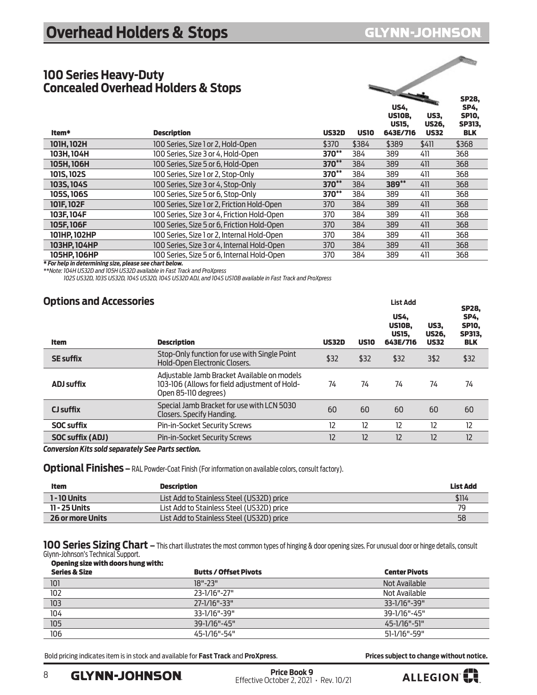### <span id="page-7-0"></span>**100 Series Heavy-Duty Concealed Overhead Holders & Stops**

| <b>Description</b>                          | <b>US32D</b> | <b>US10</b> | <b>US4,</b><br><b>US10B,</b><br><b>US15.</b><br>643E/716 | <b>US3,</b><br><b>US26.</b><br><b>US32</b> | <b>SP28.</b><br><b>SP4,</b><br><b>SP10,</b><br><b>SP313,</b><br><b>BLK</b> |
|---------------------------------------------|--------------|-------------|----------------------------------------------------------|--------------------------------------------|----------------------------------------------------------------------------|
| 100 Series, Size 1 or 2, Hold-Open          | \$370        | \$384       | \$389                                                    | \$411                                      | \$368                                                                      |
| 100 Series, Size 3 or 4, Hold-Open          | $370**$      | 384         | 389                                                      | 411                                        | 368                                                                        |
| 100 Series. Size 5 or 6. Hold-Open          | 370**        | 384         | 389                                                      | 411                                        | 368                                                                        |
| 100 Series, Size 1 or 2, Stop-Only          | 370**        | 384         | 389                                                      | 411                                        | 368                                                                        |
| 100 Series, Size 3 or 4, Stop-Only          | 370**        | 384         | 389**                                                    | 411                                        | 368                                                                        |
| 100 Series, Size 5 or 6, Stop-Only          | 370**        | 384         | 389                                                      | 411                                        | 368                                                                        |
| 100 Series, Size 1 or 2, Friction Hold-Open | 370          | 384         | 389                                                      | 411                                        | 368                                                                        |
| 100 Series, Size 3 or 4, Friction Hold-Open | 370          | 384         | 389                                                      | 411                                        | 368                                                                        |
| 100 Series, Size 5 or 6, Friction Hold-Open | 370          | 384         | 389                                                      | 411                                        | 368                                                                        |
| 100 Series, Size 1 or 2. Internal Hold-Open | 370          | 384         | 389                                                      | 411                                        | 368                                                                        |
| 100 Series, Size 3 or 4, Internal Hold-Open | 370          | 384         | 389                                                      | 411                                        | 368                                                                        |
| 100 Series, Size 5 or 6, Internal Hold-Open | 370          | 384         | 389                                                      | 411                                        | 368                                                                        |
|                                             |              |             |                                                          |                                            |                                                                            |

*\* For help in determining size, please see chart below.* 

*\*\*Note: 104H US32D and 105H US32D available in Fast Track and ProXpress* 

*102S US32D, 103S US32D, 104S US32D, 104S US32D ADJ, and 104S US10B available in Fast Track and ProXpress*

#### **Options and Accessories List Add**

| <b>Item</b>             | <b>Description</b>                                                                                                   | <b>US32D</b> | <b>US10</b> | <b>US4.</b><br><b>US10B.</b><br><b>US15.</b><br>643E/716 | <b>US3.</b><br><b>US26.</b><br><b>US32</b> | <b>SP28.</b><br><b>SP4.</b><br><b>SP10.</b><br><b>SP313.</b><br><b>BLK</b> |
|-------------------------|----------------------------------------------------------------------------------------------------------------------|--------------|-------------|----------------------------------------------------------|--------------------------------------------|----------------------------------------------------------------------------|
| <b>SE suffix</b>        | Stop-Only function for use with Single Point<br>Hold-Open Electronic Closers.                                        | \$32         | \$32        | \$32                                                     | 3\$2                                       | \$32                                                                       |
| <b>ADJ suffix</b>       | Adjustable Jamb Bracket Available on models<br>103-106 (Allows for field adiustment of Hold-<br>Open 85-110 degrees) | 74           | 74          | 74                                                       | 74                                         | 74                                                                         |
| <b>CJ suffix</b>        | Special Jamb Bracket for use with LCN 5030<br>Closers. Specify Handing.                                              | 60           | 60          | 60                                                       | 60                                         | 60                                                                         |
| <b>SOC suffix</b>       | <b>Pin-in-Socket Security Screws</b>                                                                                 | 12           | 12          | 12                                                       | 12                                         | 12                                                                         |
| <b>SOC suffix (ADJ)</b> | <b>Pin-in-Socket Security Screws</b>                                                                                 | 12           | 12          | 12                                                       | 12                                         | 12                                                                         |

*Conversion Kits sold separately See Parts section.*

#### **Optional Finishes** – RAL Powder-Coat Finish (For information on available colors, consult factory).

| Item                    | <b>Description</b>                        | <b>List Add</b> |
|-------------------------|-------------------------------------------|-----------------|
| $1 - 10$ Units          | List Add to Stainless Steel (US32D) price | \$114           |
| 11 - 25 Units           | List Add to Stainless Steel (US32D) price | 79              |
| <b>26 or more Units</b> | List Add to Stainless Steel (US32D) price | 58              |

**100 Series Sizing Chart –** This chart illustrates the most common types of hinging & door opening sizes. For unusual door or hinge details, consult Glynn-Johnson's Technical Support. Opening size with doors hung with:

| Opening size with doors nong with: |                              |                      |
|------------------------------------|------------------------------|----------------------|
| <b>Series &amp; Size</b>           | <b>Butts / Offset Pivots</b> | <b>Center Pivots</b> |
| 101                                | $18" - 23"$                  | Not Available        |
| 102                                | 23-1/16"-27"                 | Not Available        |
| 103                                | $27 - 1/16" - 33"$           | $33 - 1/16" - 39"$   |
| 104                                | 33-1/16"-39"                 | $39 - 1/16" - 45"$   |
| 105                                | $39 - 1/16" - 45"$           | $45 - 1/16" - 51"$   |
| 106                                | 45-1/16"-54"                 | $51-1/16" - 59"$     |
|                                    |                              |                      |

Bold pricing indicates item is in stock and available for **Fast Track** and **ProXpress**. **Prices subject to change without notice.**

**Price Book 9**  Effective October 2, 2021 • Rev. 10/21

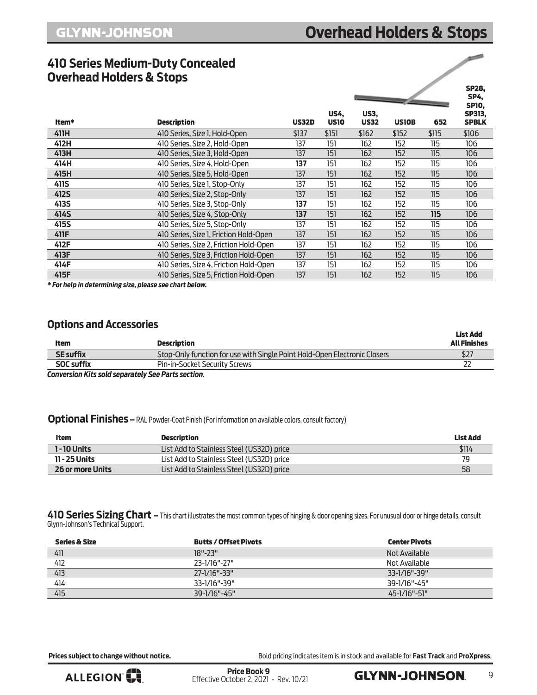$\overline{\phantom{a}}$ 

### <span id="page-8-0"></span>**410 Series Medium-Duty Concealed Overhead Holders & Stops**

|       |                                        |              |                            |                            |              |       | <b>SP28,</b><br><b>SP4.</b><br><b>SP10,</b> |
|-------|----------------------------------------|--------------|----------------------------|----------------------------|--------------|-------|---------------------------------------------|
| Item* | <b>Description</b>                     | <b>US32D</b> | <b>US4,</b><br><b>US10</b> | <b>US3,</b><br><b>US32</b> | <b>US10B</b> | 652   | <b>SP313,</b><br><b>SPBLK</b>               |
| 411H  | 410 Series, Size 1, Hold-Open          | \$137        | \$151                      | \$162                      | \$152        | \$115 | \$106                                       |
| 412H  | 410 Series, Size 2, Hold-Open          | 137          | 151                        | 162                        | 152          | 115   | 106                                         |
| 413H  | 410 Series, Size 3, Hold-Open          | 137          | 151                        | 162                        | 152          | 115   | 106                                         |
| 414H  | 410 Series, Size 4, Hold-Open          | 137          | 151                        | 162                        | 152          | 115   | 106                                         |
| 415H  | 410 Series, Size 5, Hold-Open          | 137          | 151                        | 162                        | 152          | 115   | 106                                         |
| 411S  | 410 Series, Size 1, Stop-Only          | 137          | 151                        | 162                        | 152          | 115   | 106                                         |
| 412S  | 410 Series, Size 2, Stop-Only          | 137          | 151                        | 162                        | 152          | 115   | 106                                         |
| 413S  | 410 Series, Size 3, Stop-Only          | 137          | 151                        | 162                        | 152          | 115   | 106                                         |
| 414S  | 410 Series, Size 4, Stop-Only          | 137          | 151                        | 162                        | 152          | 115   | 106                                         |
| 415S  | 410 Series, Size 5, Stop-Only          | 137          | 151                        | 162                        | 152          | 115   | 106                                         |
| 411F  | 410 Series, Size 1. Friction Hold-Open | 137          | 151                        | 162                        | 152          | 115   | 106                                         |
| 412F  | 410 Series, Size 2, Friction Hold-Open | 137          | 151                        | 162                        | 152          | 115   | 106                                         |
| 413F  | 410 Series, Size 3, Friction Hold-Open | 137          | 151                        | 162                        | 152          | 115   | 106                                         |
| 414F  | 410 Series, Size 4, Friction Hold-Open | 137          | 151                        | 162                        | 152          | 115   | 106                                         |
| 415F  | 410 Series, Size 5, Friction Hold-Open | 137          | 151                        | 162                        | 152          | 115   | 106                                         |
|       |                                        |              |                            |                            |              |       |                                             |

*\* For help in determining size, please see chart below.*

#### **Options and Accessories**

| <b>Item</b>       | <b>Description</b>                                                        | List Add<br><b>All Finishes</b> |
|-------------------|---------------------------------------------------------------------------|---------------------------------|
| <b>SE suffix</b>  | Stop-Only function for use with Single Point Hold-Open Electronic Closers | \$27                            |
| <b>SOC suffix</b> | <b>Pin-in-Socket Security Screws</b>                                      |                                 |
|                   | .                                                                         |                                 |

*Conversion Kits sold separately See Parts section.*

#### **Optional Finishes** – RAL Powder-Coat Finish (For information on available colors, consult factory)

| <b>Item</b>             | Description                               | <b>List Add</b> |
|-------------------------|-------------------------------------------|-----------------|
| $1 - 10$ Units          | List Add to Stainless Steel (US32D) price | \$114           |
| 11 - 25 Units           | List Add to Stainless Steel (US32D) price | 79              |
| <b>26 or more Units</b> | List Add to Stainless Steel (US32D) price | 58              |

410 Series Sizing Chart – This chart illustrates the most common types of hinging & door opening sizes. For unusual door or hinge details, consult Glynn-Johnson's Technical Support.

| Series & Size | <b>Butts / Offset Pivots</b> | <b>Center Pivots</b> |
|---------------|------------------------------|----------------------|
| 411           | $18" - 23"$                  | Not Available        |
| 412           | 23-1/16"-27"                 | Not Available        |
| 413           | $77 - 1/16" - 33"$           | $33 - 1/16" - 39"$   |
| 414           | 33-1/16"-39"                 | $39 - 1/16" - 45"$   |
| 415           | $39 - 1/16" - 45"$           | $45 - 1/16" - 51"$   |

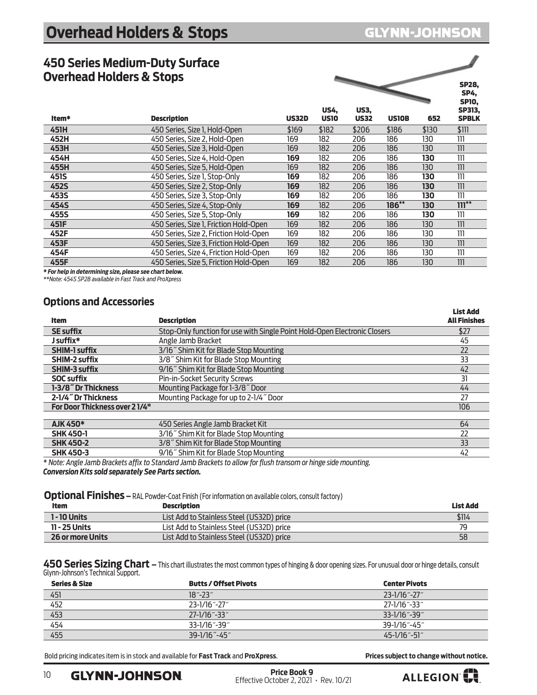## <span id="page-9-0"></span> **Overhead Holders & Stops**

### **450 Series Medium-Duty Surface Overhead Holders & Stops**

|       |                                        |              | <b>US4.</b> | <b>US3,</b> |              |       | <b>SP28,</b><br><b>SP4,</b><br><b>SP10,</b><br><b>SP313.</b> |
|-------|----------------------------------------|--------------|-------------|-------------|--------------|-------|--------------------------------------------------------------|
| Item* | <b>Description</b>                     | <b>US32D</b> | <b>US10</b> | <b>US32</b> | <b>US10B</b> | 652   | <b>SPBLK</b>                                                 |
| 451H  | 450 Series, Size 1, Hold-Open          | \$169        | \$182       | \$206       | \$186        | \$130 | \$111                                                        |
| 452H  | 450 Series, Size 2, Hold-Open          | 169          | 182         | 206         | 186          | 130   | 111                                                          |
| 453H  | 450 Series, Size 3, Hold-Open          | 169          | 182         | 206         | 186          | 130   | 111                                                          |
| 454H  | 450 Series, Size 4, Hold-Open          | 169          | 182         | 206         | 186          | 130   | 111                                                          |
| 455H  | 450 Series, Size 5, Hold-Open          | 169          | 182         | 206         | 186          | 130   | 111                                                          |
| 451S  | 450 Series, Size 1, Stop-Only          | 169          | 182         | 206         | 186          | 130   | 111                                                          |
| 452S  | 450 Series, Size 2, Stop-Only          | 169          | 182         | 206         | 186          | 130   | 111                                                          |
| 453S  | 450 Series, Size 3, Stop-Only          | 169          | 182         | 206         | 186          | 130   | 111                                                          |
| 454S  | 450 Series, Size 4, Stop-Only          | 169          | 182         | 206         | 186**        | 130   | $111***$                                                     |
| 455S  | 450 Series, Size 5, Stop-Only          | 169          | 182         | 206         | 186          | 130   | 111                                                          |
| 451F  | 450 Series, Size 1, Friction Hold-Open | 169          | 182         | 206         | 186          | 130   | 111                                                          |
| 452F  | 450 Series, Size 2, Friction Hold-Open | 169          | 182         | 206         | 186          | 130   | 111                                                          |
| 453F  | 450 Series, Size 3, Friction Hold-Open | 169          | 182         | 206         | 186          | 130   | 111                                                          |
| 454F  | 450 Series, Size 4, Friction Hold-Open | 169          | 182         | 206         | 186          | 130   | 111                                                          |
| 455F  | 450 Series, Size 5, Friction Hold-Open | 169          | 182         | 206         | 186          | 130   | 111                                                          |

*\* For help in determining size, please see chart below.* 

*\*\*Note: 454S SP28 available in Fast Track and ProXpress*

#### **Options and Accessories**

| <b>Item</b>                   | <b>Description</b>                                                                                                      | <b>List Add</b><br><b>All Finishes</b> |
|-------------------------------|-------------------------------------------------------------------------------------------------------------------------|----------------------------------------|
| <b>SE suffix</b>              | Stop-Only function for use with Single Point Hold-Open Electronic Closers                                               | \$27                                   |
| J suffix*                     | Angle Jamb Bracket                                                                                                      | 45                                     |
| <b>SHIM-1 suffix</b>          | 3/16" Shim Kit for Blade Stop Mounting                                                                                  | 22                                     |
| <b>SHIM-2 suffix</b>          | 3/8" Shim Kit for Blade Stop Mounting                                                                                   | 33                                     |
| <b>SHIM-3 suffix</b>          | 9/16" Shim Kit for Blade Stop Mounting                                                                                  | 42                                     |
| <b>SOC suffix</b>             | Pin-in-Socket Security Screws                                                                                           | 31                                     |
| 1-3/8" Dr Thickness           | Mounting Package for 1-3/8" Door                                                                                        | 44                                     |
| 2-1/4" Dr Thickness           | Mounting Package for up to 2-1/4" Door                                                                                  | 27                                     |
| For Door Thickness over 21/4" |                                                                                                                         | 106                                    |
|                               |                                                                                                                         |                                        |
| <b>AJK 450*</b>               | 450 Series Angle Jamb Bracket Kit                                                                                       | 64                                     |
| <b>SHK 450-1</b>              | 3/16" Shim Kit for Blade Stop Mounting                                                                                  | 22                                     |
| <b>SHK 450-2</b>              | 3/8" Shim Kit for Blade Stop Mounting                                                                                   | 33                                     |
| <b>SHK 450-3</b>              | 9/16" Shim Kit for Blade Stop Mounting                                                                                  | 42                                     |
|                               | & Notes Arealy to sele December 2002 to Charactered to select December 11 and 2003 Cardian services and the second to a |                                        |

*\* Note: Angle Jamb Brackets affix to Standard Jamb Brackets to allow for flush transom or hinge side mounting.*

*Conversion Kits sold separately See Parts section.*

#### **Optional Finishes** – RAL Powder-Coat Finish (For information on available colors, consult factory)

| <b>Item</b>             | Description                               | <b>List Add</b> |
|-------------------------|-------------------------------------------|-----------------|
| 1 - 10 Units            | List Add to Stainless Steel (US32D) price | \$114           |
| 11 - 25 Units           | List Add to Stainless Steel (US32D) price | 79              |
| <b>26 or more Units</b> | List Add to Stainless Steel (US32D) price | 58              |

**450 Series Sizing Chart –** This chart illustrates the most common types of hinging & door opening sizes. For unusual door or hinge details, consult Glynn-Johnson's Technical Support.

| <b>Series &amp; Size</b> | <b>Butts / Offset Pivots</b> | <b>Center Pivots</b>     |
|--------------------------|------------------------------|--------------------------|
| 451                      | $18^{\circ} - 23^{\circ}$    | $23 - 1/16$ " $-27$ "    |
|                          | $23 - 1/16$ "-27"            | - 27-1/16 - 33 $\degree$ |
| $\frac{452}{453}$        | $77 - 1/16$ " $-33$ "        | $33 - 1/16$ "-39"        |
| $\frac{454}{455}$        | $33 - 1/16$ "-39"            | $39 - 1/16$ "-45"        |
|                          | $39 - 1/16$ "-45"            | $45 - 1/16$ " $-51$ "    |

Bold pricing indicates item is in stock and available for **Fast Track** and **ProXpress**. **Prices subject to change without notice.**

**Price Book 9**  Effective October 2, 2021 • Rev. 10/21

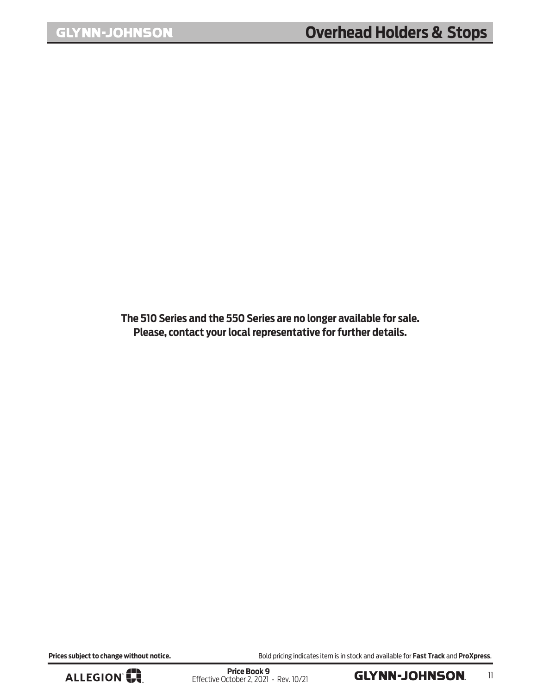<span id="page-10-0"></span>**The 510 Series and the 550 Series are no longer available for sale. Please, contact your local representative for further details.**

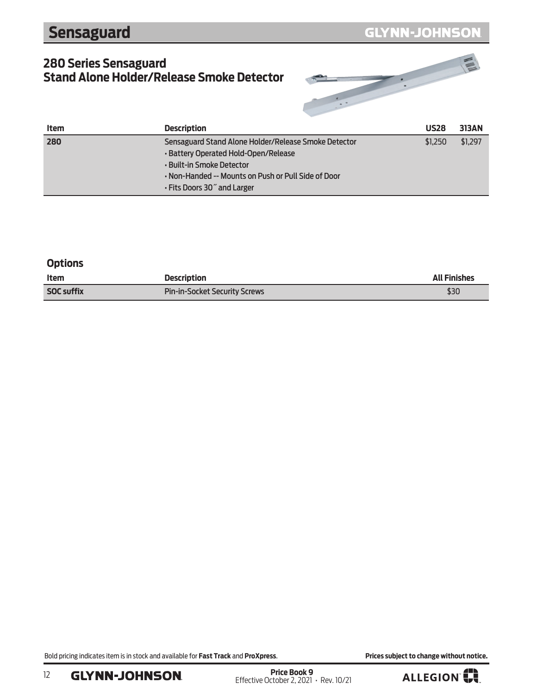### <span id="page-11-0"></span>**280 Series Sensaguard Stand Alone Holder/Release Smoke Detector**



| Item | <b>Description</b>                                   | <b>US28</b> | <b>313AN</b> |
|------|------------------------------------------------------|-------------|--------------|
| 280  | Sensaguard Stand Alone Holder/Release Smoke Detector | \$1.250     | \$1,297      |
|      | - Battery Operated Hold-Open/Release                 |             |              |
|      | · Built-in Smoke Detector                            |             |              |
|      | . Non-Handed -- Mounts on Push or Pull Side of Door  |             |              |
|      | • Fits Doors 30" and Larger                          |             |              |

| <b>Options</b> |  |
|----------------|--|
|----------------|--|

| Item              | <b>Description</b>                   | <b>All Finishes</b> |
|-------------------|--------------------------------------|---------------------|
| <b>SOC suffix</b> | <b>Pin-in-Socket Security Screws</b> | \$30                |

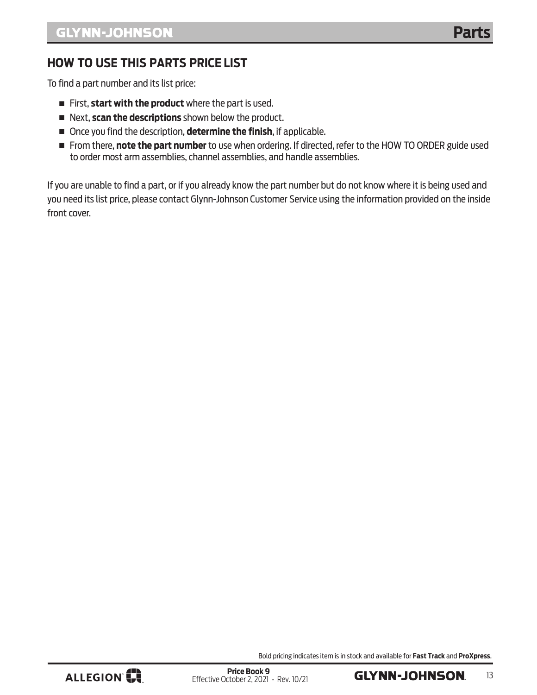### <span id="page-12-0"></span>**HOW TO USE THIS PARTS PRICE LIST**

To find a part number and its list price:

- **n** First, start with the product where the part is used.
- **n** Next, **scan the descriptions** shown below the product.
- **n** Once you find the description, **determine the finish**, if applicable.
- n From there, **note the part number** to use when ordering. If directed, refer to the HOW TO ORDER guide used to order most arm assemblies, channel assemblies, and handle assemblies.

If you are unable to find a part, or if you already know the part number but do not know where it is being used and you need its list price, please contact Glynn-Johnson Customer Service using the information provided on the inside front cover.

Bold pricing indicates item is in stock and available for **Fast Track** and **ProXpress**.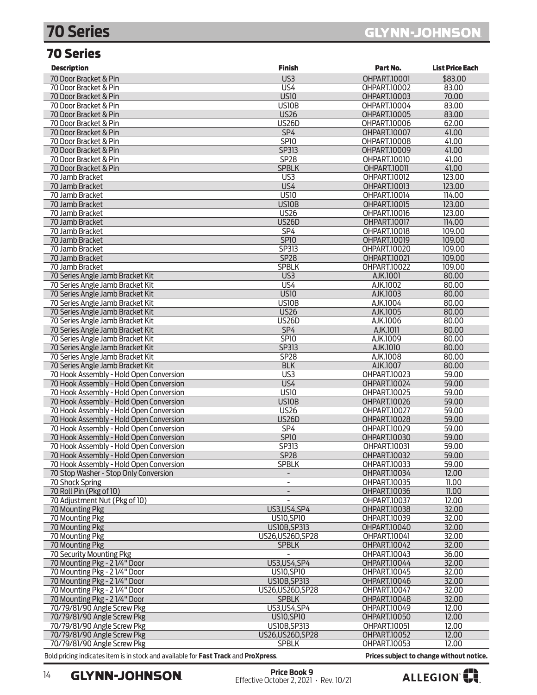## **70 Series**

## GLYNN-JOHNSON

### 70 Series

| <b>Description</b>                                                                 | <b>Finish</b>                     | Part No.                            | <b>List Price Each</b> |
|------------------------------------------------------------------------------------|-----------------------------------|-------------------------------------|------------------------|
| 70 Door Bracket & Pin                                                              | U <sub>S3</sub>                   | <b>OHPART.10001</b>                 | \$83.00                |
| 70 Door Bracket & Pin                                                              | US <sub>4</sub>                   | OHPART.10002                        | 83.00                  |
| 70 Door Bracket & Pin                                                              | <b>US10</b>                       | <b>OHPART.10003</b>                 | 70.00                  |
| 70 Door Bracket & Pin                                                              | <b>US10B</b>                      | OHPART.10004                        | 83.00                  |
| 70 Door Bracket & Pin                                                              | <b>US26</b>                       | <b>OHPART.10005</b>                 | 83.00                  |
| 70 Door Bracket & Pin                                                              | <b>US26D</b>                      | OHPART.10006                        | 62.00                  |
| 70 Door Bracket & Pin                                                              | SP4                               | OHPART.10007                        | 41.00                  |
| 70 Door Bracket & Pin                                                              | <b>SP10</b>                       | OHPART.10008                        | 41.00                  |
| 70 Door Bracket & Pin                                                              | <b>SP313</b>                      | <b>OHPART.10009</b>                 | 41.00                  |
| 70 Door Bracket & Pin                                                              | <b>SP28</b><br><b>SPBLK</b>       | OHPART.10010<br><b>OHPART.10011</b> | 41.00<br>41.00         |
| 70 Door Bracket & Pin<br>70 Jamb Bracket                                           | US3                               | OHPART.10012                        | 123.00                 |
| 70 Jamb Bracket                                                                    | US4                               | <b>OHPART.10013</b>                 | 123.00                 |
| 70 Jamb Bracket                                                                    | <b>US10</b>                       | OHPART.10014                        | 114.00                 |
| 70 Jamb Bracket                                                                    | <b>US10B</b>                      | OHPART.10015                        | 123.00                 |
| 70 Jamb Bracket                                                                    | <b>US26</b>                       | OHPART.10016                        | 123.00                 |
| 70 Jamb Bracket                                                                    | <b>US26D</b>                      | <b>OHPART.10017</b>                 | 114.00                 |
| 70 Jamb Bracket                                                                    | SP4                               | OHPART.10018                        | 109.00                 |
| 70 Jamb Bracket                                                                    | <b>SP10</b>                       | <b>OHPART.10019</b>                 | 109.00                 |
| 70 Jamb Bracket                                                                    | SP313                             | <b>OHPART.10020</b>                 | 109.00                 |
| 70 Jamb Bracket                                                                    | <b>SP28</b>                       | <b>OHPART.10021</b>                 | 109.00                 |
| 70 Jamb Bracket                                                                    | <b>SPBLK</b>                      | <b>OHPART.10022</b>                 | 109.00                 |
| 70 Series Angle Jamb Bracket Kit                                                   | US3                               | AJK.1001                            | 80.00                  |
| 70 Series Angle Jamb Bracket Kit                                                   | US4                               | AJK.1002                            | 80.00                  |
| 70 Series Angle Jamb Bracket Kit                                                   | <b>US10</b>                       | AJK.1003                            | 80.00                  |
| 70 Series Angle Jamb Bracket Kit                                                   | <b>US10B</b>                      | AJK.1004                            | 80.00                  |
| 70 Series Angle Jamb Bracket Kit<br>70 Series Angle Jamb Bracket Kit               | <b>US26</b><br><b>US26D</b>       | AJK.1005<br>AJK.1006                | 80.00<br>80.00         |
| 70 Series Angle Jamb Bracket Kit                                                   | SP4                               | AJK.1011                            | 80.00                  |
| 70 Series Angle Jamb Bracket Kit                                                   | <b>SP10</b>                       | AJK.1009                            | 80.00                  |
| 70 Series Angle Jamb Bracket Kit                                                   | SP313                             | AJK.1010                            | 80.00                  |
| 70 Series Angle Jamb Bracket Kit                                                   | <b>SP28</b>                       | AJK.1008                            | 80.00                  |
| 70 Series Angle Jamb Bracket Kit                                                   | <b>BLK</b>                        | AJK.1007                            | 80.00                  |
| 70 Hook Assembly - Hold Open Conversion                                            | US3                               | OHPART.10023                        | 59.00                  |
| 70 Hook Assembly - Hold Open Conversion                                            | US4                               | <b>OHPART.10024</b>                 | 59.00                  |
| 70 Hook Assembly - Hold Open Conversion                                            | <b>US10</b>                       | OHPART.10025                        | 59.00                  |
| 70 Hook Assembly - Hold Open Conversion                                            | <b>US10B</b>                      | OHPART.10026                        | 59.00                  |
| 70 Hook Assembly - Hold Open Conversion                                            | <b>US26</b>                       | OHPART.10027                        | 59.00                  |
| 70 Hook Assembly - Hold Open Conversion                                            | <b>US26D</b>                      | <b>OHPART.10028</b>                 | 59.00                  |
| 70 Hook Assembly - Hold Open Conversion                                            | SP4                               | OHPART.10029                        | 59.00                  |
| 70 Hook Assembly - Hold Open Conversion                                            | <b>SP10</b>                       | <b>OHPART.10030</b>                 | 59.00                  |
| 70 Hook Assembly - Hold Open Conversion<br>70 Hook Assembly - Hold Open Conversion | SP313<br><b>SP28</b>              | OHPART.10031<br><b>OHPART.10032</b> | 59.00<br>59.00         |
| 70 Hook Assembly - Hold Open Conversion                                            | <b>SPBLK</b>                      | OHPART.10033                        | 59.00                  |
| 70 Stop Washer - Stop Only Conversion                                              |                                   | OHPART.10034                        | 12.00                  |
| 70 Shock Spring                                                                    | $\overline{\phantom{a}}$          | OHPART.10035                        | 11.00                  |
| 70 Roll Pin (Pkg of 10)                                                            |                                   | OHPART.10036                        | 11.00                  |
| 70 Adjustment Nut (Pkg of 10)                                                      |                                   | OHPART.10037                        | 12.00                  |
| 70 Mounting Pkg                                                                    | <b>US3, US4, SP4</b>              | OHPART.10038                        | 32.00                  |
| 70 Mounting Pkg                                                                    | <b>US10, SP10</b>                 | OHPART.10039                        | 32.00                  |
| 70 Mounting Pkg                                                                    | <b>USIOB, SP313</b>               | OHPART.10040                        | 32.00                  |
| 70 Mounting Pkg                                                                    | US26, US26D, SP28                 | OHPART.10041                        | 32.00                  |
| 70 Mounting Pkg                                                                    | <b>SPBLK</b>                      | <b>OHPART.10042</b>                 | 32.00                  |
| 70 Security Mounting Pkg                                                           |                                   | OHPART.10043                        | 36.00                  |
| 70 Mounting Pkg - 2 1/4" Door                                                      | <b>US3, US4, SP4</b>              | OHPART.10044                        | 32.00                  |
| 70 Mounting Pkg - 2 1/4" Door                                                      | <b>US10, SP10</b>                 | OHPART.10045                        | 32.00                  |
| 70 Mounting Pkg - 21/4" Door<br>70 Mounting Pkg - 21/4" Door                       | <b>US10B, SP313</b>               | OHPART.10046                        | 32.00                  |
| 70 Mounting Pkg - 21/4" Door                                                       | US26, US26D, SP28<br><b>SPBLK</b> | OHPART.10047<br>OHPART.10048        | 32.00<br>32.00         |
| 70/79/81/90 Angle Screw Pkg                                                        | US3, US4, SP4                     | OHPART.10049                        | 12.00                  |
| 70/79/81/90 Angle Screw Pkg                                                        | <b>US10, SP10</b>                 | <b>OHPART.10050</b>                 | 12.00                  |
| 70/79/81/90 Angle Screw Pkg                                                        | <b>US10B, SP313</b>               | OHPART.10051                        | 12.00                  |
| 70/79/81/90 Angle Screw Pkg                                                        | US26, US26D, SP28                 | <b>OHPART.10052</b>                 | 12.00                  |
| 70/79/81/90 Angle Screw Pkg                                                        | <b>SPBLK</b>                      | <b>OHPART.10053</b>                 | 12.00                  |
|                                                                                    |                                   |                                     |                        |

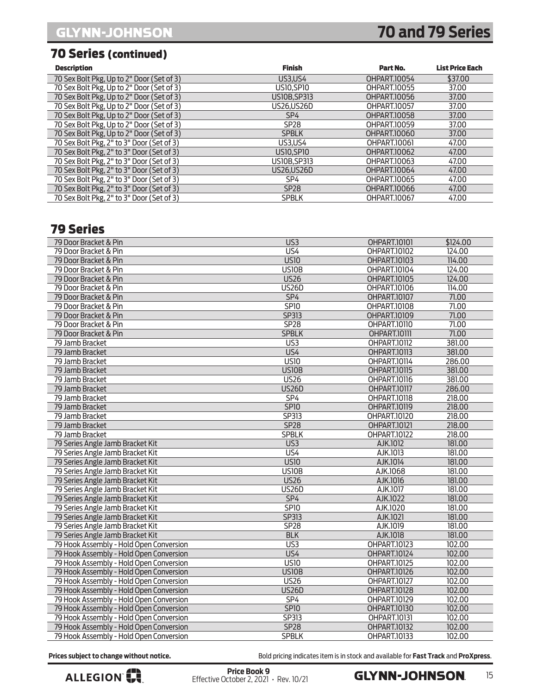# **70 and 79 Series**

### 70 Series (continued)

| <b>Description</b>                        | <b>Finish</b>      | Part No.     | <b>List Price Each</b> |
|-------------------------------------------|--------------------|--------------|------------------------|
| 70 Sex Bolt Pkg. Up to 2" Door (Set of 3) | <b>US3.US4</b>     | OHPART.10054 | \$37.00                |
| 70 Sex Bolt Pkg, Up to 2" Door (Set of 3) | US10.SP10          | OHPART.10055 | 37.00                  |
| 70 Sex Bolt Pkg, Up to 2" Door (Set of 3) | <b>USIOB.SP313</b> | OHPART.10056 | 37.00                  |
| 70 Sex Bolt Pkg. Up to 2" Door (Set of 3) | US26.US26D         | OHPART.10057 | 37.00                  |
| 70 Sex Bolt Pkg, Up to 2" Door (Set of 3) | SP <sub>4</sub>    | OHPART.10058 | 37.00                  |
| 70 Sex Bolt Pkg, Up to 2" Door (Set of 3) | <b>SP28</b>        | OHPART.10059 | 37.00                  |
| 70 Sex Bolt Pkg, Up to 2" Door (Set of 3) | <b>SPBLK</b>       | OHPART.10060 | 37.00                  |
| 70 Sex Bolt Pkg, 2" to 3" Door (Set of 3) | <b>US3.US4</b>     | OHPART.10061 | 47.00                  |
| 70 Sex Bolt Pkg. 2" to 3" Door (Set of 3) | US10.SP10          | OHPART.10062 | 47.00                  |
| 70 Sex Bolt Pkg. 2" to 3" Door (Set of 3) | <b>USIOB.SP313</b> | OHPART.10063 | 47.00                  |
| 70 Sex Bolt Pkg. 2" to 3" Door (Set of 3) | US26.US26D         | OHPART.10064 | 47.00                  |
| 70 Sex Bolt Pkg, 2" to 3" Door (Set of 3) | SP4                | OHPART.10065 | 47.00                  |
| 70 Sex Bolt Pkg, 2" to 3" Door (Set of 3) | SP <sub>28</sub>   | OHPART.10066 | 47.00                  |
| 70 Sex Bolt Pkg, 2" to 3" Door (Set of 3) | <b>SPBLK</b>       | OHPART.10067 | 47.00                  |

### 79 Series

| 79 Door Bracket & Pin                   | US3              | <b>OHPART.10101</b> | \$124.00 |
|-----------------------------------------|------------------|---------------------|----------|
| 79 Door Bracket & Pin                   | US4              | OHPART.10102        | 124.00   |
| 79 Door Bracket & Pin                   | <b>US10</b>      | <b>OHPART.10103</b> | 114.00   |
| 79 Door Bracket & Pin                   | <b>US10B</b>     | OHPART.10104        | 124.00   |
| 79 Door Bracket & Pin                   | <b>US26</b>      | <b>OHPART.10105</b> | 124.00   |
| 79 Door Bracket & Pin                   | <b>US26D</b>     | OHPART.10106        | 114.00   |
| 79 Door Bracket & Pin                   | SP4              | <b>OHPART.10107</b> | 71.00    |
| 79 Door Bracket & Pin                   | SPI0             | OHPART.10108        | 71.00    |
| 79 Door Bracket & Pin                   | SP313            | OHPART.10109        | 71.00    |
| 79 Door Bracket & Pin                   | <b>SP28</b>      | OHPART.10110        | 71.00    |
| 79 Door Bracket & Pin                   | <b>SPBLK</b>     | OHPART.10111        | 71.00    |
| 79 Jamb Bracket                         | $\overline{US3}$ | <b>OHPART.10112</b> | 381.00   |
| 79 Jamb Bracket                         | US4              | <b>OHPART.10113</b> | 381.00   |
| 79 Jamb Bracket                         | <b>US10</b>      | OHPART.10114        | 286.00   |
| 79 Jamb Bracket                         | <b>US10B</b>     | <b>OHPART.10115</b> | 381.00   |
| 79 Jamb Bracket                         | <b>US26</b>      | OHPART.10116        | 381.00   |
| 79 Jamb Bracket                         | <b>US26D</b>     | <b>OHPART.10117</b> | 286.00   |
| 79 Jamb Bracket                         | SP4              | OHPART.10118        | 218.00   |
| 79 Jamb Bracket                         | <b>SP10</b>      | <b>OHPART.10119</b> | 218.00   |
| 79 Jamb Bracket                         | SP313            | OHPART.10120        | 218.00   |
| 79 Jamb Bracket                         | <b>SP28</b>      | <b>OHPART.10121</b> | 218.00   |
| 79 Jamb Bracket                         | <b>SPBLK</b>     | <b>OHPART.10122</b> | 218.00   |
| 79 Series Angle Jamb Bracket Kit        | US3              | AJK.1012            | 181.00   |
| 79 Series Angle Jamb Bracket Kit        | $\overline{US4}$ | AJK.1013            | 181.00   |
| 79 Series Angle Jamb Bracket Kit        | <b>US10</b>      | AJK.1014            | 181.00   |
| 79 Series Angle Jamb Bracket Kit        | <b>US10B</b>     | AJK.1068            | 181.00   |
| 79 Series Angle Jamb Bracket Kit        | <b>US26</b>      | AJK.1016            | 181.00   |
| 79 Series Angle Jamb Bracket Kit        | <b>US26D</b>     | AJK.1017            | 181.00   |
| 79 Series Angle Jamb Bracket Kit        | SP4              | AJK.1022            | 181.00   |
| 79 Series Angle Jamb Bracket Kit        | SP10             | AJK.1020            | 181.00   |
| 79 Series Angle Jamb Bracket Kit        | <b>SP313</b>     | AJK.1021            | 181.00   |
| 79 Series Angle Jamb Bracket Kit        | SP28             | AJK.1019            | 181.00   |
| 79 Series Angle Jamb Bracket Kit        | <b>BLK</b>       | AJK.1018            | 181.00   |
| 79 Hook Assembly - Hold Open Conversion | $\overline{US3}$ | OHPART.10123        | 102.00   |
| 79 Hook Assembly - Hold Open Conversion | US <sub>4</sub>  | <b>OHPART.10124</b> | 102.00   |
| 79 Hook Assembly - Hold Open Conversion | <b>US10</b>      | OHPART.10125        | 102.00   |
| 79 Hook Assembly - Hold Open Conversion | <b>US10B</b>     | <b>OHPART.10126</b> | 102.00   |
| 79 Hook Assembly - Hold Open Conversion | <b>US26</b>      | OHPART.10127        | 102.00   |
| 79 Hook Assembly - Hold Open Conversion | <b>US26D</b>     | <b>OHPART.10128</b> | 102.00   |
| 79 Hook Assembly - Hold Open Conversion | SP4              | OHPART.10129        | 102.00   |
| 79 Hook Assembly - Hold Open Conversion | <b>SP10</b>      | <b>OHPART.10130</b> | 102.00   |
| 79 Hook Assembly - Hold Open Conversion | SP313            | OHPART.10131        | 102.00   |
| 79 Hook Assembly - Hold Open Conversion | <b>SP28</b>      | <b>OHPART.10132</b> | 102.00   |
| 79 Hook Assembly - Hold Open Conversion | <b>SPBLK</b>     | OHPART.10133        | 102.00   |

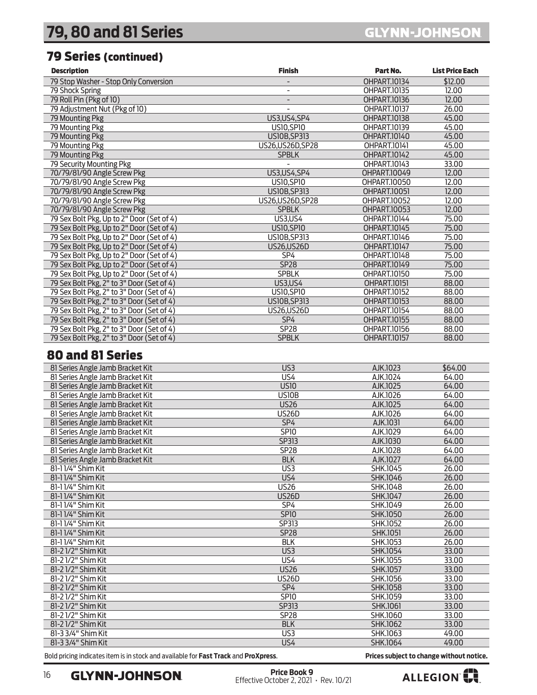### <span id="page-15-0"></span>79 Series (continued)

| <b>Description</b>                        | <b>Finish</b>            | Part No.             | <b>List Price Each</b> |
|-------------------------------------------|--------------------------|----------------------|------------------------|
| 79 Stop Washer - Stop Only Conversion     | $\overline{\phantom{0}}$ | <b>OHPART.10134</b>  | \$12.00                |
| 79 Shock Spring                           |                          | OHPART.10135         | 12.00                  |
| 79 Roll Pin (Pkg of 10)                   | $\overline{\phantom{m}}$ | OHPART.10136         | 12.00                  |
| 79 Adjustment Nut (Pkg of 10)             |                          | <b>OHPART.10137</b>  | 26.00                  |
| 79 Mounting Pkg                           | US3, US4, SP4            | OHPART.10138         | 45.00                  |
| 79 Mounting Pkg                           | <b>US10.SP10</b>         | OHPART.10139         | 45.00                  |
| 79 Mounting Pkg                           | <b>USIOB.SP313</b>       | OHPART.10140         | 45.00                  |
| 79 Mounting Pkg                           | US26, US26 D. SP28       | OHPART.10141         | 45.00                  |
| 79 Mounting Pkg                           | <b>SPBLK</b>             | OHPART.10142         | 45.00                  |
| 79 Security Mounting Pkg                  |                          | OHPART.10143         | 33.00                  |
| 70/79/81/90 Angle Screw Pkg               | US3, US4, SP4            | <b>OHPART, 10049</b> | 12.00                  |
| 70/79/81/90 Angle Screw Pkg               | <b>US10.SP10</b>         | <b>OHPART.10050</b>  | 12.00                  |
| 70/79/81/90 Angle Screw Pkg               | <b>US10B, SP313</b>      | OHPART.10051         | 12.00                  |
| 70/79/81/90 Angle Screw Pkg               | US26, US26D, SP28        | OHPART.10052         | 12.00                  |
| 70/79/81/90 Angle Screw Pkg               | <b>SPBLK</b>             | <b>OHPART.10053</b>  | 12.00                  |
| 79 Sex Bolt Pkg, Up to 2" Door (Set of 4) | <b>US3,US4</b>           | OHPART.10144         | 75.00                  |
| 79 Sex Bolt Pkg, Up to 2" Door (Set of 4) | <b>US10.SP10</b>         | OHPART.10145         | 75.00                  |
| 79 Sex Bolt Pkg, Up to 2" Door (Set of 4) | <b>USIOB.SP313</b>       | OHPART.10146         | 75.00                  |
| 79 Sex Bolt Pkg, Up to 2" Door (Set of 4) | <b>US26.US26D</b>        | OHPART.10147         | 75.00                  |
| 79 Sex Bolt Pkg, Up to 2" Door (Set of 4) | SP <sub>4</sub>          | OHPART.10148         | 75.00                  |
| 79 Sex Bolt Pkg, Up to 2" Door (Set of 4) | <b>SP28</b>              | OHPART.10149         | 75.00                  |
| 79 Sex Bolt Pkg, Up to 2" Door (Set of 4) | <b>SPBLK</b>             | OHPART.10150         | 75.00                  |
| 79 Sex Bolt Pkg, 2" to 3" Door (Set of 4) | <b>US3.US4</b>           | <b>OHPART.10151</b>  | 88.00                  |
| 79 Sex Bolt Pkg, 2" to 3" Door (Set of 4) | <b>US10.SP10</b>         | OHPART.10152         | 88.00                  |
| 79 Sex Bolt Pkg, 2" to 3" Door (Set of 4) | <b>US10B, SP313</b>      | <b>OHPART.10153</b>  | 88.00                  |
| 79 Sex Bolt Pkg, 2" to 3" Door (Set of 4) | <b>US26.US26D</b>        | OHPART.10154         | 88.00                  |
| 79 Sex Bolt Pkg, 2" to 3" Door (Set of 4) | SP <sub>4</sub>          | <b>OHPART, 10155</b> | 88.00                  |
| 79 Sex Bolt Pkg, 2" to 3" Door (Set of 4) | <b>SP28</b>              | OHPART.10156         | 88.00                  |
| 79 Sex Bolt Pkg, 2" to 3" Door (Set of 4) | <b>SPBLK</b>             | <b>OHPART.10157</b>  | 88.00                  |

### 80 and 81 Series

| US4<br>AJK.1024<br>64.00<br>81 Series Angle Jamb Bracket Kit<br><b>US10</b><br>81 Series Angle Jamb Bracket Kit<br>AJK.1025<br>64.00<br>81 Series Angle Jamb Bracket Kit<br>US10B<br>AJK.1026<br>64.00<br><b>US26</b><br>64.00<br>81 Series Angle Jamb Bracket Kit<br>AJK.1025<br><b>US26D</b><br>81 Series Angle Jamb Bracket Kit<br>64.00<br>AJK.1026<br>SP4<br>81 Series Angle Jamb Bracket Kit<br>AJK.1031<br>64.00<br>81 Series Angle Jamb Bracket Kit<br><b>SP10</b><br>AJK.1029<br>64.00<br>81 Series Angle Jamb Bracket Kit<br>SP313<br>AJK.1030<br>64.00<br><b>SP28</b><br>64.00<br>81 Series Angle Jamb Bracket Kit<br>AJK.1028<br>81 Series Angle Jamb Bracket Kit<br><b>BLK</b><br>AJK.1027<br>64.00<br>81-11/4" Shim Kit<br>US3<br>26.00<br>SHK.1045<br>81-11/4" Shim Kit<br>US4<br>26.00<br>SHK.1046<br>81-11/4" Shim Kit<br><b>US26</b><br>SHK.1048<br>26.00<br>81-11/4" Shim Kit<br><b>US26D</b><br>26.00<br><b>SHK.1047</b><br>81-11/4" Shim Kit<br>SP <sub>4</sub><br>26.00<br>SHK.1049<br><b>SP10</b><br>81-11/4" Shim Kit<br><b>SHK.1050</b><br>26.00<br>SP313<br>81-11/4" Shim Kit<br>SHK.1052<br>26.00<br>81-11/4" Shim Kit<br><b>SP28</b><br>26.00<br>SHK.1051<br>81-11/4" Shim Kit<br><b>BLK</b><br>SHK.1053<br>26.00<br>81-21/2" Shim Kit<br>US3<br>33.00<br>SHK.1054<br>81-21/2" Shim Kit<br>US4<br><b>SHK.1055</b><br>33.00<br><b>US26</b><br>81-21/2" Shim Kit<br><b>SHK.1057</b><br>33.00<br>81-21/2" Shim Kit<br><b>US26D</b><br>33.00<br>SHK.1056<br>81-21/2" Shim Kit<br>SP4<br><b>SHK.1058</b><br>33.00<br>81-21/2" Shim Kit<br><b>SP10</b><br>33.00<br><b>SHK.1059</b><br>81-21/2" Shim Kit<br>SP313<br><b>SHK.1061</b><br>33.00<br>81-21/2" Shim Kit<br><b>SP28</b><br>33.00<br>SHK.1060<br>81-21/2" Shim Kit<br><b>BLK</b><br>33.00<br><b>SHK.1062</b><br>US3<br>81-3 3/4" Shim Kit<br>SHK.1063<br>49.00<br>81-3 3/4" Shim Kit<br>US4<br>SHK.1064<br>49.00 | 81 Series Angle Jamb Bracket Kit | US <sub>3</sub> | AJK.1023 | \$64.00 |
|------------------------------------------------------------------------------------------------------------------------------------------------------------------------------------------------------------------------------------------------------------------------------------------------------------------------------------------------------------------------------------------------------------------------------------------------------------------------------------------------------------------------------------------------------------------------------------------------------------------------------------------------------------------------------------------------------------------------------------------------------------------------------------------------------------------------------------------------------------------------------------------------------------------------------------------------------------------------------------------------------------------------------------------------------------------------------------------------------------------------------------------------------------------------------------------------------------------------------------------------------------------------------------------------------------------------------------------------------------------------------------------------------------------------------------------------------------------------------------------------------------------------------------------------------------------------------------------------------------------------------------------------------------------------------------------------------------------------------------------------------------------------------------------------------------------------------------------------------------------------------------------------|----------------------------------|-----------------|----------|---------|
|                                                                                                                                                                                                                                                                                                                                                                                                                                                                                                                                                                                                                                                                                                                                                                                                                                                                                                                                                                                                                                                                                                                                                                                                                                                                                                                                                                                                                                                                                                                                                                                                                                                                                                                                                                                                                                                                                                |                                  |                 |          |         |
|                                                                                                                                                                                                                                                                                                                                                                                                                                                                                                                                                                                                                                                                                                                                                                                                                                                                                                                                                                                                                                                                                                                                                                                                                                                                                                                                                                                                                                                                                                                                                                                                                                                                                                                                                                                                                                                                                                |                                  |                 |          |         |
|                                                                                                                                                                                                                                                                                                                                                                                                                                                                                                                                                                                                                                                                                                                                                                                                                                                                                                                                                                                                                                                                                                                                                                                                                                                                                                                                                                                                                                                                                                                                                                                                                                                                                                                                                                                                                                                                                                |                                  |                 |          |         |
|                                                                                                                                                                                                                                                                                                                                                                                                                                                                                                                                                                                                                                                                                                                                                                                                                                                                                                                                                                                                                                                                                                                                                                                                                                                                                                                                                                                                                                                                                                                                                                                                                                                                                                                                                                                                                                                                                                |                                  |                 |          |         |
|                                                                                                                                                                                                                                                                                                                                                                                                                                                                                                                                                                                                                                                                                                                                                                                                                                                                                                                                                                                                                                                                                                                                                                                                                                                                                                                                                                                                                                                                                                                                                                                                                                                                                                                                                                                                                                                                                                |                                  |                 |          |         |
|                                                                                                                                                                                                                                                                                                                                                                                                                                                                                                                                                                                                                                                                                                                                                                                                                                                                                                                                                                                                                                                                                                                                                                                                                                                                                                                                                                                                                                                                                                                                                                                                                                                                                                                                                                                                                                                                                                |                                  |                 |          |         |
|                                                                                                                                                                                                                                                                                                                                                                                                                                                                                                                                                                                                                                                                                                                                                                                                                                                                                                                                                                                                                                                                                                                                                                                                                                                                                                                                                                                                                                                                                                                                                                                                                                                                                                                                                                                                                                                                                                |                                  |                 |          |         |
|                                                                                                                                                                                                                                                                                                                                                                                                                                                                                                                                                                                                                                                                                                                                                                                                                                                                                                                                                                                                                                                                                                                                                                                                                                                                                                                                                                                                                                                                                                                                                                                                                                                                                                                                                                                                                                                                                                |                                  |                 |          |         |
|                                                                                                                                                                                                                                                                                                                                                                                                                                                                                                                                                                                                                                                                                                                                                                                                                                                                                                                                                                                                                                                                                                                                                                                                                                                                                                                                                                                                                                                                                                                                                                                                                                                                                                                                                                                                                                                                                                |                                  |                 |          |         |
|                                                                                                                                                                                                                                                                                                                                                                                                                                                                                                                                                                                                                                                                                                                                                                                                                                                                                                                                                                                                                                                                                                                                                                                                                                                                                                                                                                                                                                                                                                                                                                                                                                                                                                                                                                                                                                                                                                |                                  |                 |          |         |
|                                                                                                                                                                                                                                                                                                                                                                                                                                                                                                                                                                                                                                                                                                                                                                                                                                                                                                                                                                                                                                                                                                                                                                                                                                                                                                                                                                                                                                                                                                                                                                                                                                                                                                                                                                                                                                                                                                |                                  |                 |          |         |
|                                                                                                                                                                                                                                                                                                                                                                                                                                                                                                                                                                                                                                                                                                                                                                                                                                                                                                                                                                                                                                                                                                                                                                                                                                                                                                                                                                                                                                                                                                                                                                                                                                                                                                                                                                                                                                                                                                |                                  |                 |          |         |
|                                                                                                                                                                                                                                                                                                                                                                                                                                                                                                                                                                                                                                                                                                                                                                                                                                                                                                                                                                                                                                                                                                                                                                                                                                                                                                                                                                                                                                                                                                                                                                                                                                                                                                                                                                                                                                                                                                |                                  |                 |          |         |
|                                                                                                                                                                                                                                                                                                                                                                                                                                                                                                                                                                                                                                                                                                                                                                                                                                                                                                                                                                                                                                                                                                                                                                                                                                                                                                                                                                                                                                                                                                                                                                                                                                                                                                                                                                                                                                                                                                |                                  |                 |          |         |
|                                                                                                                                                                                                                                                                                                                                                                                                                                                                                                                                                                                                                                                                                                                                                                                                                                                                                                                                                                                                                                                                                                                                                                                                                                                                                                                                                                                                                                                                                                                                                                                                                                                                                                                                                                                                                                                                                                |                                  |                 |          |         |
|                                                                                                                                                                                                                                                                                                                                                                                                                                                                                                                                                                                                                                                                                                                                                                                                                                                                                                                                                                                                                                                                                                                                                                                                                                                                                                                                                                                                                                                                                                                                                                                                                                                                                                                                                                                                                                                                                                |                                  |                 |          |         |
|                                                                                                                                                                                                                                                                                                                                                                                                                                                                                                                                                                                                                                                                                                                                                                                                                                                                                                                                                                                                                                                                                                                                                                                                                                                                                                                                                                                                                                                                                                                                                                                                                                                                                                                                                                                                                                                                                                |                                  |                 |          |         |
|                                                                                                                                                                                                                                                                                                                                                                                                                                                                                                                                                                                                                                                                                                                                                                                                                                                                                                                                                                                                                                                                                                                                                                                                                                                                                                                                                                                                                                                                                                                                                                                                                                                                                                                                                                                                                                                                                                |                                  |                 |          |         |
|                                                                                                                                                                                                                                                                                                                                                                                                                                                                                                                                                                                                                                                                                                                                                                                                                                                                                                                                                                                                                                                                                                                                                                                                                                                                                                                                                                                                                                                                                                                                                                                                                                                                                                                                                                                                                                                                                                |                                  |                 |          |         |
|                                                                                                                                                                                                                                                                                                                                                                                                                                                                                                                                                                                                                                                                                                                                                                                                                                                                                                                                                                                                                                                                                                                                                                                                                                                                                                                                                                                                                                                                                                                                                                                                                                                                                                                                                                                                                                                                                                |                                  |                 |          |         |
|                                                                                                                                                                                                                                                                                                                                                                                                                                                                                                                                                                                                                                                                                                                                                                                                                                                                                                                                                                                                                                                                                                                                                                                                                                                                                                                                                                                                                                                                                                                                                                                                                                                                                                                                                                                                                                                                                                |                                  |                 |          |         |
|                                                                                                                                                                                                                                                                                                                                                                                                                                                                                                                                                                                                                                                                                                                                                                                                                                                                                                                                                                                                                                                                                                                                                                                                                                                                                                                                                                                                                                                                                                                                                                                                                                                                                                                                                                                                                                                                                                |                                  |                 |          |         |
|                                                                                                                                                                                                                                                                                                                                                                                                                                                                                                                                                                                                                                                                                                                                                                                                                                                                                                                                                                                                                                                                                                                                                                                                                                                                                                                                                                                                                                                                                                                                                                                                                                                                                                                                                                                                                                                                                                |                                  |                 |          |         |
|                                                                                                                                                                                                                                                                                                                                                                                                                                                                                                                                                                                                                                                                                                                                                                                                                                                                                                                                                                                                                                                                                                                                                                                                                                                                                                                                                                                                                                                                                                                                                                                                                                                                                                                                                                                                                                                                                                |                                  |                 |          |         |
|                                                                                                                                                                                                                                                                                                                                                                                                                                                                                                                                                                                                                                                                                                                                                                                                                                                                                                                                                                                                                                                                                                                                                                                                                                                                                                                                                                                                                                                                                                                                                                                                                                                                                                                                                                                                                                                                                                |                                  |                 |          |         |
|                                                                                                                                                                                                                                                                                                                                                                                                                                                                                                                                                                                                                                                                                                                                                                                                                                                                                                                                                                                                                                                                                                                                                                                                                                                                                                                                                                                                                                                                                                                                                                                                                                                                                                                                                                                                                                                                                                |                                  |                 |          |         |
|                                                                                                                                                                                                                                                                                                                                                                                                                                                                                                                                                                                                                                                                                                                                                                                                                                                                                                                                                                                                                                                                                                                                                                                                                                                                                                                                                                                                                                                                                                                                                                                                                                                                                                                                                                                                                                                                                                |                                  |                 |          |         |
|                                                                                                                                                                                                                                                                                                                                                                                                                                                                                                                                                                                                                                                                                                                                                                                                                                                                                                                                                                                                                                                                                                                                                                                                                                                                                                                                                                                                                                                                                                                                                                                                                                                                                                                                                                                                                                                                                                |                                  |                 |          |         |
|                                                                                                                                                                                                                                                                                                                                                                                                                                                                                                                                                                                                                                                                                                                                                                                                                                                                                                                                                                                                                                                                                                                                                                                                                                                                                                                                                                                                                                                                                                                                                                                                                                                                                                                                                                                                                                                                                                |                                  |                 |          |         |
|                                                                                                                                                                                                                                                                                                                                                                                                                                                                                                                                                                                                                                                                                                                                                                                                                                                                                                                                                                                                                                                                                                                                                                                                                                                                                                                                                                                                                                                                                                                                                                                                                                                                                                                                                                                                                                                                                                |                                  |                 |          |         |

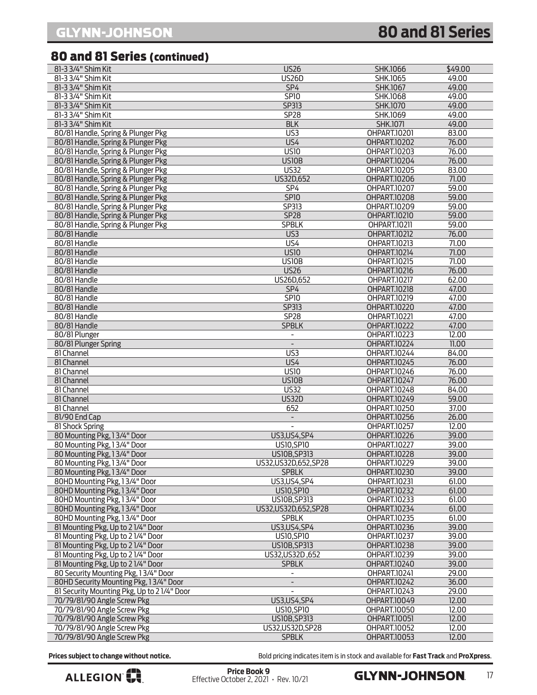## **80 and 81 Series**

### <span id="page-16-0"></span>80 and 81 Series (continued)

| 81-3 3/4" Shim Kit                         | <b>US26</b>              | SHK.1066            | \$49.00 |
|--------------------------------------------|--------------------------|---------------------|---------|
| 81-3 3/4" Shim Kit                         | <b>US26D</b>             | SHK.1065            | 49.00   |
| 81-3 3/4" Shim Kit                         | SP4                      | SHK.1067            | 49.00   |
| 81-3 3/4" Shim Kit                         | SP10                     | SHK.1068            | 49.00   |
| 81-3 3/4" Shim Kit                         | <b>SP313</b>             | SHK.1070            | 49.00   |
| 81-3 3/4" Shim Kit                         | <b>SP28</b>              | SHK.1069            | 49.00   |
| 81-3 3/4" Shim Kit                         | <b>BLK</b>               | <b>SHK.1071</b>     | 49.00   |
| 80/81 Handle, Spring & Plunger Pkg         | US3                      | OHPART.10201        | 83.00   |
| 80/81 Handle, Spring & Plunger Pkg         | US4                      | <b>OHPART.10202</b> | 76.00   |
| 80/81 Handle, Spring & Plunger Pkg         | <b>US10</b>              | OHPART.10203        | 76.00   |
| 80/81 Handle, Spring & Plunger Pkg         | <b>US10B</b>             | <b>OHPART.10204</b> | 76.00   |
| 80/81 Handle, Spring & Plunger Pkg         | <b>US32</b>              | <b>OHPART.10205</b> | 83.00   |
| 80/81 Handle, Spring & Plunger Pkg         | US32D,652                | OHPART.10206        | 71.00   |
| 80/81 Handle, Spring & Plunger Pkg         | SP4                      | OHPART.10207        | 59.00   |
| 80/81 Handle, Spring & Plunger Pkg         | SP10                     | OHPART.10208        | 59.00   |
| 80/81 Handle, Spring & Plunger Pkg         | SP313                    | OHPART.10209        | 59.00   |
| 80/81 Handle, Spring & Plunger Pkg         | SP28                     | <b>OHPART.10210</b> | 59.00   |
| 80/81 Handle, Spring & Plunger Pkg         | <b>SPBLK</b>             | OHPART.10211        | 59.00   |
| 80/81 Handle                               | US3                      | <b>OHPART.10212</b> | 76.00   |
| 80/81 Handle                               | $\overline{US4}$         | OHPART.10213        | 71.00   |
| 80/81 Handle                               | <b>US10</b>              | <b>OHPART.10214</b> | 71.00   |
| 80/81 Handle                               | US10B                    | OHPART.10215        | 71.00   |
| 80/81 Handle                               | <b>US26</b>              | OHPART.10216        | 76.00   |
| 80/81 Handle                               | US26D,652                | <b>OHPART.10217</b> | 62.00   |
| 80/81 Handle                               | SP4                      | <b>OHPART.10218</b> | 47.00   |
| 80/81 Handle                               | <b>SP10</b>              | OHPART.10219        | 47.00   |
| 80/81 Handle                               | SP313                    | <b>OHPART.10220</b> | 47.00   |
| 80/81 Handle                               | <b>SP28</b>              | <b>OHPART.10221</b> | 47.00   |
| 80/81 Handle                               | <b>SPBLK</b>             | <b>OHPART.10222</b> | 47.00   |
| 80/81 Plunger                              | ÷,                       | OHPART.10223        | 12.00   |
| 80/81 Plunger Spring                       | $\overline{\phantom{a}}$ | OHPART.10224        | 11.00   |
| 81 Channel                                 | US3                      | OHPART.10244        | 84.00   |
| 81 Channel                                 | US4                      | OHPART.10245        | 76.00   |
| 81 Channel                                 | <b>US10</b>              | OHPART.10246        | 76.00   |
| 81 Channel                                 | <b>US10B</b>             | <b>OHPART.10247</b> | 76.00   |
| 81 Channel                                 | <b>US32</b>              | OHPART.10248        | 84.00   |
| 81 Channel                                 | <b>US32D</b>             | OHPART.10249        | 59.00   |
| 81 Channel                                 | 652                      | OHPART.10250        | 37.00   |
| 81/90 End Cap                              | $\overline{\phantom{a}}$ | OHPART.10256        | 26.00   |
| 81 Shock Spring                            | $\overline{a}$           | OHPART.10257        | 12.00   |
| 80 Mounting Pkg, 13/4" Door                | <b>US3,US4,SP4</b>       | OHPART.10226        | 39.00   |
| 80 Mounting Pkg, 13/4" Door                | <b>US10,SP10</b>         | OHPART.10227        | 39.00   |
| 80 Mounting Pkg, 13/4" Door                | <b>US10B, SP313</b>      | <b>OHPART.10228</b> | 39.00   |
| 80 Mounting Pkg, 13/4" Door                | US32, US32D, 652, SP28   | OHPART.10229        | 39.00   |
| 80 Mounting Pkg, 13/4" Door                | <b>SPBLK</b>             | <b>OHPART.10230</b> | 39.00   |
| 80HD Mounting Pkg, 13/4" Door              | US3,US4,SP4              | OHPART.10231        | 61.00   |
| 80HD Mounting Pkg, 13/4" Door              | <b>US10, SP10</b>        | OHPART.10232        | 61.00   |
| 80HD Mounting Pkg, 13/4" Door              | <b>US10B, SP313</b>      | OHPART.10233        | 61.00   |
| 80HD Mounting Pkg, 13/4" Door              | US32, US32D, 652, SP28   | OHPART.10234        | 61.00   |
| 80HD Mounting Pkg, 13/4" Door              | <b>SPBLK</b>             | OHPART.10235        | 61.00   |
| 81 Mounting Pkg, Up to 21/4" Door          | <b>US3,US4,SP4</b>       | OHPART.10236        | 39.00   |
| 81 Mounting Pkg, Up to 21/4" Door          | <b>US10,SP10</b>         | OHPART.10237        | 39.00   |
| 81 Mounting Pkg, Up to 21/4" Door          | <b>US10B,SP313</b>       | OHPART.10238        | 39.00   |
| 81 Mounting Pkg, Up to 21/4" Door          | US32,US32D,652           | OHPART.10239        | 39.00   |
| 81 Mounting Pkg, Up to 21/4" Door          | <b>SPBLK</b>             | OHPART.10240        | 39.00   |
| 80 Security Mounting Pkg, 13/4" Door       | $\overline{\phantom{0}}$ | <b>OHPART.10241</b> | 29.00   |
| 80HD Security Mounting Pkg, 13/4" Door     | $\overline{\phantom{a}}$ | OHPART.10242        | 36.00   |
| 81 Security Mounting Pkg, Up to 21/4" Door | $\overline{\phantom{a}}$ | OHPART.10243        | 29.00   |
| 70/79/81/90 Angle Screw Pkg                | <b>US3,US4,SP4</b>       | OHPART.10049        | 12.00   |
| 70/79/81/90 Angle Screw Pkg                | <b>US10, SP10</b>        | <b>OHPART.10050</b> | 12.00   |
| 70/79/81/90 Angle Screw Pkg                | <b>US10B, SP313</b>      | <b>OHPART.10051</b> | 12.00   |
| 70/79/81/90 Angle Screw Pkg                | US32, US32D, SP28        | OHPART.10052        | 12.00   |
| 70/79/81/90 Angle Screw Pkg                | <b>SPBLK</b>             | OHPART.10053        | 12.00   |
|                                            |                          |                     |         |

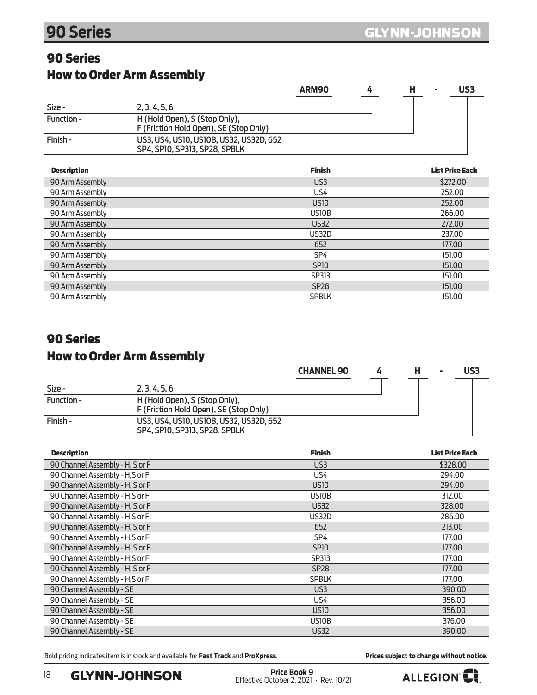### <span id="page-17-0"></span>90 Series How to Order Arm Assembly

|                    |                                                                          | <b>ARM90</b>     | 4 | н | US <sub>3</sub>        |
|--------------------|--------------------------------------------------------------------------|------------------|---|---|------------------------|
| Size-              | 2, 3, 4, 5, 6                                                            |                  |   |   |                        |
| Function -         | H (Hold Open), S (Stop Only),<br>F (Friction Hold Open), SE (Stop Only)  |                  |   |   |                        |
| Finish -           | US3, US4, US10, US10B, US32, US32D, 652<br>SP4, SP10, SP313, SP28, SPBLK |                  |   |   |                        |
| <b>Description</b> |                                                                          | <b>Finish</b>    |   |   | <b>List Price Each</b> |
| 90 Arm Assembly    |                                                                          | US3              |   |   | \$272.00               |
| 90 Arm Assembly    |                                                                          | US4              |   |   | 252.00                 |
| 90 Arm Assembly    |                                                                          | <b>US10</b>      |   |   | 252.00                 |
| 90 Arm Assembly    |                                                                          | US10B            |   |   | 266.00                 |
| 90 Arm Assembly    |                                                                          | <b>US32</b>      |   |   | 272.00                 |
| 90 Arm Assembly    |                                                                          | <b>US32D</b>     |   |   | 237.00                 |
| 90 Arm Assembly    |                                                                          | 652              |   |   | 177.00                 |
| 90 Arm Assembly    |                                                                          | SP <sub>4</sub>  |   |   | 151.00                 |
| 90 Arm Assembly    |                                                                          | SP <sub>10</sub> |   |   | 151.00                 |
| 90 Arm Assembly    |                                                                          | SP313            |   |   | 151.00                 |
| 90 Arm Assembly    |                                                                          | <b>SP28</b>      |   |   | 151.00                 |
| 90 Arm Assembly    |                                                                          | <b>SPBLK</b>     |   |   | 151.00                 |

### 90 Series How to Order Arm Assembly

|            |                                                                          | <b>CHANNEL 90</b> | 4 |  | US3 |
|------------|--------------------------------------------------------------------------|-------------------|---|--|-----|
| Size -     | 2, 3, 4, 5, 6                                                            |                   |   |  |     |
| Function - | H (Hold Open), S (Stop Only),<br>F (Friction Hold Open), SE (Stop Only)  |                   |   |  |     |
| Finish -   | US3, US4, US10, US10B, US32, US32D, 652<br>SP4, SP10, SP313, SP28, SPBLK |                   |   |  |     |

| <b>Description</b>              | <b>Finish</b>    | <b>List Price Each</b> |
|---------------------------------|------------------|------------------------|
| 90 Channel Assembly - H, S or F | US3              | \$328.00               |
| 90 Channel Assembly - H.S or F  | US4              | 294.00                 |
| 90 Channel Assembly - H, S or F | <b>US10</b>      | 294.00                 |
| 90 Channel Assembly - H,S or F  | US10B            | 312.00                 |
| 90 Channel Assembly - H, S or F | <b>US32</b>      | 328.00                 |
| 90 Channel Assembly - H,S or F  | US32D            | 286.00                 |
| 90 Channel Assembly - H, S or F | 652              | 213.00                 |
| 90 Channel Assembly - H,S or F  | SP4              | 177.00                 |
| 90 Channel Assembly - H, S or F | <b>SP10</b>      | 177.00                 |
| 90 Channel Assembly - H,S or F  | SP313            | 177.00                 |
| 90 Channel Assembly - H, S or F | SP <sub>28</sub> | 177.00                 |
| 90 Channel Assembly - H,S or F  | <b>SPBLK</b>     | 177.00                 |
| 90 Channel Assembly - SE        | US3              | 390.00                 |
| 90 Channel Assembly - SE        | US4              | 356.00                 |
| 90 Channel Assembly - SE        | <b>US10</b>      | 356.00                 |
| 90 Channel Assembly - SE        | US10B            | 376.00                 |
| 90 Channel Assembly - SE        | <b>US32</b>      | 390.00                 |

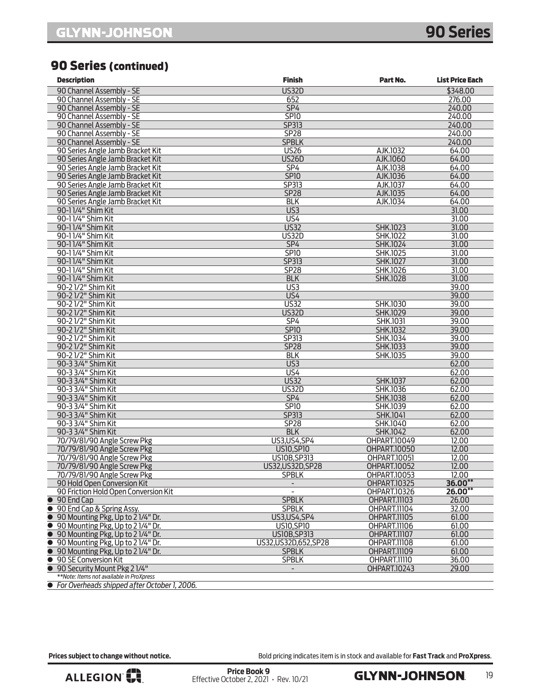## <span id="page-18-0"></span>90 Series (continued)

| <b>Description</b>                                                  | <b>Finish</b>                | Part No.            | <b>List Price Each</b> |
|---------------------------------------------------------------------|------------------------------|---------------------|------------------------|
| 90 Channel Assembly - SE                                            | <b>US32D</b>                 |                     | \$348.00               |
| 90 Channel Assembly - SE                                            | 652                          |                     | 276.00                 |
| 90 Channel Assembly - SE                                            | SP4                          |                     | 240.00                 |
| 90 Channel Assembly - SE                                            | <b>SP10</b>                  |                     | 240.00                 |
| 90 Channel Assembly - SE                                            | <b>SP313</b>                 |                     | 240.00                 |
| 90 Channel Assembly - SE                                            | <b>SP28</b>                  |                     | 240.00                 |
| 90 Channel Assembly - SE                                            | <b>SPBLK</b>                 |                     | 240.00                 |
| 90 Series Angle Jamb Bracket Kit                                    | <b>US26</b>                  | AJK.1032            | 64.00                  |
| 90 Series Angle Jamb Bracket Kit                                    | <b>US26D</b>                 | AJK.1060            | 64.00                  |
| 90 Series Angle Jamb Bracket Kit                                    | SP4                          | AJK.1038            | 64.00                  |
| 90 Series Angle Jamb Bracket Kit                                    | <b>SP10</b>                  | AJK.1036            | 64.00                  |
| 90 Series Angle Jamb Bracket Kit                                    | <b>SP313</b>                 | AJK.1037            | 64.00                  |
| 90 Series Angle Jamb Bracket Kit                                    | <b>SP28</b>                  | AJK.1035            | 64.00                  |
| 90 Series Angle Jamb Bracket Kit                                    | <b>BLK</b>                   | AJK.1034            | 64.00                  |
| 90-11/4" Shim Kit                                                   | $\overline{US3}$             |                     | 31.00                  |
| 90-11/4" Shim Kit                                                   | U <sub>54</sub>              |                     | 31.00                  |
| 90-11/4" Shim Kit                                                   | <b>US32</b>                  | SHK.1023            | 31.00                  |
| 90-11/4" Shim Kit                                                   | <b>US32D</b>                 | SHK.1022            | 31.00                  |
| 90-11/4" Shim Kit                                                   | SP4                          | SHK.1024            | 31.00                  |
| 90-11/4" Shim Kit                                                   | <b>SP10</b>                  | SHK.1025            | 31.00                  |
| 90-11/4" Shim Kit                                                   | <b>SP313</b>                 | <b>SHK.1027</b>     | 31.00                  |
| 90-11/4" Shim Kit                                                   | <b>SP28</b>                  | SHK.1026            | 31.00                  |
| 90-11/4" Shim Kit                                                   | <b>BLK</b>                   | <b>SHK.1028</b>     | 31.00                  |
| 90-21/2" Shim Kit                                                   | U <sub>S3</sub><br>US4       |                     | 39.00<br>39.00         |
| 90-21/2" Shim Kit<br>90-21/2" Shim Kit                              | <b>US32</b>                  | <b>SHK.1030</b>     | 39.00                  |
| 90-21/2" Shim Kit                                                   | <b>US32D</b>                 | SHK.1029            | 39.00                  |
| 90-21/2" Shim Kit                                                   | SP4                          | SHK.1031            | 39.00                  |
| 90-21/2" Shim Kit                                                   | <b>SP10</b>                  | SHK.1032            | 39.00                  |
| 90-21/2" Shim Kit                                                   | <b>SP313</b>                 | SHK.1034            | 39.00                  |
| 90-21/2" Shim Kit                                                   | <b>SP28</b>                  | SHK.1033            | 39.00                  |
| 90-21/2" Shim Kit                                                   | <b>BLK</b>                   | SHK.1035            | 39.00                  |
| 90-3 3/4" Shim Kit                                                  | $\overline{US3}$             |                     | 62.00                  |
| 90-3 3/4" Shim Kit                                                  | U <sub>54</sub>              |                     | 62.00                  |
| 90-3 3/4" Shim Kit                                                  | <b>US32</b>                  | SHK.1037            | 62.00                  |
| 90-3 3/4" Shim Kit                                                  | <b>US32D</b>                 | SHK.1036            | 62.00                  |
| 90-3 3/4" Shim Kit                                                  | SP4                          | <b>SHK.1038</b>     | 62.00                  |
| 90-3 3/4" Shim Kit                                                  | <b>SP10</b>                  | SHK.1039            | 62.00                  |
| 90-3 3/4" Shim Kit                                                  | SP313                        | SHK.1041            | 62.00                  |
| 90-3 3/4" Shim Kit                                                  | <b>SP28</b>                  | SHK.1040            | 62.00                  |
| 90-3 3/4" Shim Kit                                                  | <b>BLK</b>                   | SHK.1042            | 62.00                  |
| 70/79/81/90 Angle Screw Pkg                                         | <b>US3, US4, SP4</b>         | OHPART.10049        | 12.00                  |
| 70/79/81/90 Angle Screw Pkg                                         | <b>US10, SP10</b>            | <b>OHPART.10050</b> | 12.00                  |
| 70/79/81/90 Angle Screw Pkg                                         | <b>US10B, SP313</b>          | OHPART.10051        | 12.00                  |
| 70/79/81/90 Angle Screw Pkg                                         | US32, US32D, SP28            | <b>OHPART.10052</b> | 12.00                  |
| 70/79/81/90 Angle Screw Pkg                                         | <b>SPBLK</b>                 | OHPART.10053        | 12.00                  |
| 90 Hold Open Conversion Kit                                         |                              | <b>OHPART.10325</b> | 36.00**                |
| 90 Friction Hold Open Conversion Kit                                |                              | OHPART.10326        | $26.00**$              |
| $\bullet$ 90 End Cap                                                | <b>SPBLK</b>                 | <b>OHPART.11103</b> | 26.00                  |
| ● 90 End Cap & Spring Assy.                                         | <b>SPBLK</b>                 | OHPART.11104        | 32.00                  |
| • 90 Mounting Pkg, Up to 21/4" Dr.                                  | <b>US3, US4, SP4</b>         | <b>OHPART.11105</b> | 61.00                  |
| ● 90 Mounting Pkg, Up to 2 1/4" Dr.                                 | <b>US10,SP10</b>             | <b>OHPART.11106</b> | 61.00                  |
| 90 Mounting Pkg, Up to 2 1/4" Dr.<br>$\bullet$                      | <b>US10B, SP313</b>          | <b>OHPART.III07</b> | 61.00<br>61.00         |
| ● 90 Mounting Pkg, Up to 2 1/4" Dr.                                 | US32, US32D, 652, SP28       | <b>OHPART.11108</b> |                        |
| • 90 Mounting Pkg, Up to 2 1/4" Dr.                                 | <b>SPBLK</b><br><b>SPBLK</b> | <b>OHPART.11109</b> | 61.00<br>36.00         |
| 90 SE Conversion Kit<br>$\bullet$<br>• 90 Security Mount Pkg 2 1/4" |                              | OHPART.IIII0        | 29.00                  |
| **Note: Items not available in ProXpress                            |                              | OHPART.10243        |                        |
| • For Overheads shipped after October 1, 2006.                      |                              |                     |                        |
|                                                                     |                              |                     |                        |

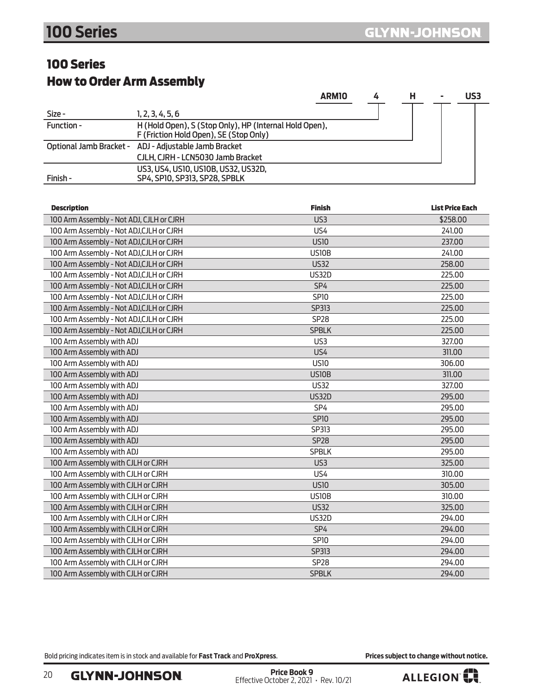### <span id="page-19-0"></span>100 Series How to Order Arm Assembly

|            |                                                                                                  | <b>ARM10</b> | Н | ۰ | US3 |
|------------|--------------------------------------------------------------------------------------------------|--------------|---|---|-----|
| Size -     | 1, 2, 3, 4, 5, 6                                                                                 |              |   |   |     |
| Function - | H (Hold Open), S (Stop Only), HP (Internal Hold Open),<br>F (Friction Hold Open), SE (Stop Only) |              |   |   |     |
|            | Optional Jamb Bracket - ADJ - Adjustable Jamb Bracket                                            |              |   |   |     |
|            | CJLH, CJRH - LCN5030 Jamb Bracket                                                                |              |   |   |     |
| Finish -   | US3, US4, US10, US10B, US32, US32D,<br>SP4, SP10, SP313, SP28, SPBLK                             |              |   |   |     |

| <b>Description</b>                       | <b>Finish</b> | <b>List Price Each</b> |
|------------------------------------------|---------------|------------------------|
| 100 Arm Assembly - Not ADJ, CJLH or CJRH | US3           | \$258.00               |
| 100 Arm Assembly - Not ADJ, CJLH or CJRH | US4           | 241.00                 |
| 100 Arm Assembly - Not ADJ, CJLH or CJRH | <b>US10</b>   | 237.00                 |
| 100 Arm Assembly - Not ADJ, CJLH or CJRH | <b>US10B</b>  | 241.00                 |
| 100 Arm Assembly - Not ADJ, CJLH or CJRH | <b>US32</b>   | 258.00                 |
| 100 Arm Assembly - Not ADJ, CJLH or CJRH | <b>US32D</b>  | 225.00                 |
| 100 Arm Assembly - Not ADJ, CJLH or CJRH | SP4           | 225.00                 |
| 100 Arm Assembly - Not ADJ, CJLH or CJRH | <b>SP10</b>   | 225.00                 |
| 100 Arm Assembly - Not ADJ, CJLH or CJRH | SP313         | 225.00                 |
| 100 Arm Assembly - Not ADJ, CJLH or CJRH | <b>SP28</b>   | 225.00                 |
| 100 Arm Assembly - Not ADJ, CJLH or CJRH | <b>SPBLK</b>  | 225.00                 |
| 100 Arm Assembly with ADJ                | US3           | 327.00                 |
| 100 Arm Assembly with ADJ                | US4           | 311.00                 |
| 100 Arm Assembly with ADJ                | <b>US10</b>   | 306.00                 |
| 100 Arm Assembly with ADJ                | <b>US10B</b>  | 311.00                 |
| 100 Arm Assembly with ADJ                | <b>US32</b>   | 327.00                 |
| 100 Arm Assembly with ADJ                | <b>US32D</b>  | 295.00                 |
| 100 Arm Assembly with ADJ                | SP4           | 295.00                 |
| 100 Arm Assembly with ADJ                | <b>SP10</b>   | 295.00                 |
| 100 Arm Assembly with ADJ                | SP313         | 295.00                 |
| 100 Arm Assembly with ADJ                | <b>SP28</b>   | 295.00                 |
| 100 Arm Assembly with ADJ                | <b>SPBLK</b>  | 295.00                 |
| 100 Arm Assembly with CJLH or CJRH       | US3           | 325.00                 |
| 100 Arm Assembly with CJLH or CJRH       | US4           | 310.00                 |
| 100 Arm Assembly with CJLH or CJRH       | <b>US10</b>   | 305.00                 |
| 100 Arm Assembly with CJLH or CJRH       | US10B         | 310.00                 |
| 100 Arm Assembly with CJLH or CJRH       | <b>US32</b>   | 325.00                 |
| 100 Arm Assembly with CJLH or CJRH       | <b>US32D</b>  | 294.00                 |
| 100 Arm Assembly with CJLH or CJRH       | SP4           | 294.00                 |
| 100 Arm Assembly with CJLH or CJRH       | <b>SP10</b>   | 294.00                 |
| 100 Arm Assembly with CJLH or CJRH       | SP313         | 294.00                 |
| 100 Arm Assembly with CJLH or CJRH       | <b>SP28</b>   | 294.00                 |
| 100 Arm Assembly with CJLH or CJRH       | <b>SPBLK</b>  | 294.00                 |

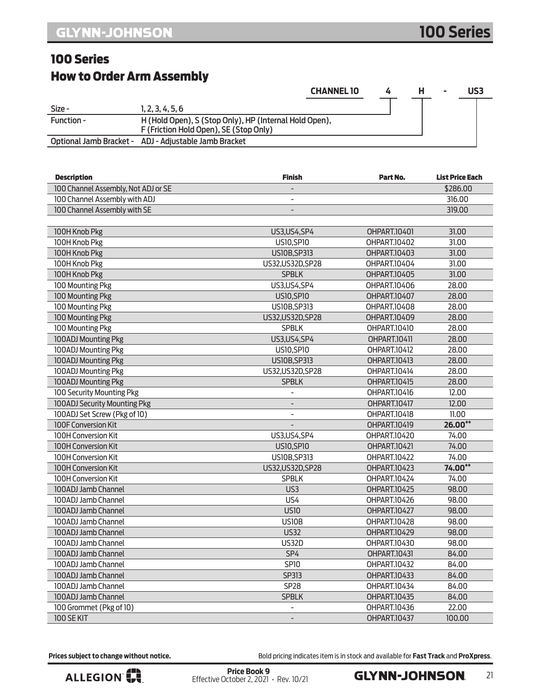### <span id="page-20-0"></span>100 Series How to Order Arm Assembly

|            |                                                                                                  | <b>CHANNEL 10</b> |  | US3 |  |
|------------|--------------------------------------------------------------------------------------------------|-------------------|--|-----|--|
| Size -     | 1, 2, 3, 4, 5, 6                                                                                 |                   |  |     |  |
| Function - | H (Hold Open), S (Stop Only), HP (Internal Hold Open),<br>F (Friction Hold Open), SE (Stop Only) |                   |  |     |  |
|            | Optional Jamb Bracket - ADJ - Adjustable Jamb Bracket                                            |                   |  |     |  |

| <b>Description</b>                  | <b>Finish</b>            | Part No.            | <b>List Price Each</b> |
|-------------------------------------|--------------------------|---------------------|------------------------|
| 100 Channel Assembly, Not ADJ or SE |                          |                     | \$286.00               |
| 100 Channel Assembly with ADJ       | $\blacksquare$           |                     | 316.00                 |
| 100 Channel Assembly with SE        | $\overline{a}$           |                     | 319.00                 |
|                                     |                          |                     |                        |
| 100H Knob Pkg                       | US3, US4, SP4            | <b>OHPART.10401</b> | 31.00                  |
| 100H Knob Pkg                       | <b>US10, SP10</b>        | OHPART.10402        | 31.00                  |
| 100H Knob Pkg                       | <b>US10B, SP313</b>      | <b>OHPART.10403</b> | 31.00                  |
| 100H Knob Pkg                       | US32, US32D, SP28        | OHPART.10404        | 31.00                  |
| 100H Knob Pkg                       | <b>SPBLK</b>             | OHPART.10405        | 31.00                  |
| 100 Mounting Pkg                    | US3,US4,SP4              | OHPART.10406        | 28.00                  |
| 100 Mounting Pkg                    | <b>US10, SP10</b>        | OHPART.10407        | 28.00                  |
| 100 Mounting Pkg                    | US10B, SP313             | OHPART.10408        | 28.00                  |
| 100 Mounting Pkg                    | US32, US32D, SP28        | OHPART.10409        | 28.00                  |
| 100 Mounting Pkg                    | <b>SPBLK</b>             | OHPART.10410        | 28.00                  |
| 100ADJ Mounting Pkg                 | US3,US4,SP4              | <b>OHPART.10411</b> | 28.00                  |
| 100ADJ Mounting Pkg                 | <b>US10,SP10</b>         | OHPART.10412        | 28.00                  |
| 100ADJ Mounting Pkg                 | <b>US10B, SP313</b>      | OHPART.10413        | 28.00                  |
| 100ADJ Mounting Pkg                 | US32, US32D, SP28        | OHPART.10414        | 28.00                  |
| 100ADJ Mounting Pkg                 | <b>SPBLK</b>             | <b>OHPART.10415</b> | 28.00                  |
| 100 Security Mounting Pkg           | ä,                       | OHPART.10416        | 12.00                  |
| 100ADJ Security Mounting Pkg        | $\overline{\phantom{a}}$ | <b>OHPART.10417</b> | 12.00                  |
| 100ADJ Set Screw (Pkg of 10)        | $\overline{\phantom{a}}$ | OHPART.10418        | 11.00                  |
| <b>100F Conversion Kit</b>          |                          | OHPART.10419        | $26.00**$              |
| 100H Conversion Kit                 | US3,US4,SP4              | OHPART.10420        | 74.00                  |
| 100H Conversion Kit                 | <b>US10, SP10</b>        | <b>OHPART.10421</b> | 74.00                  |
| <b>100H Conversion Kit</b>          | US10B, SP313             | <b>OHPART.10422</b> | 74.00                  |
| <b>100H Conversion Kit</b>          | US32, US32D, SP28        | <b>OHPART.10423</b> | 74.00**                |
| 100H Conversion Kit                 | <b>SPBLK</b>             | OHPART.10424        | 74.00                  |
| 100ADJ Jamb Channel                 | US3                      | OHPART.10425        | 98.00                  |
| 100ADJ Jamb Channel                 | US4                      | OHPART.10426        | 98.00                  |
| 100ADJ Jamb Channel                 | <b>US10</b>              | <b>OHPART.10427</b> | 98.00                  |
| 100ADJ Jamb Channel                 | <b>US10B</b>             | OHPART.10428        | 98.00                  |
| 100ADJ Jamb Channel                 | <b>US32</b>              | <b>OHPART.10429</b> | 98.00                  |
| 100ADJ Jamb Channel                 | <b>US32D</b>             | OHPART.10430        | 98.00                  |
| 100ADJ Jamb Channel                 | SP4                      | <b>OHPART.10431</b> | 84.00                  |
| 100ADJ Jamb Channel                 | SP10                     | OHPART.10432        | 84.00                  |
| 100ADJ Jamb Channel                 | <b>SP313</b>             | <b>OHPART.10433</b> | 84.00                  |
| 100ADJ Jamb Channel                 | <b>SP28</b>              | OHPART.10434        | 84.00                  |
| 100ADJ Jamb Channel                 | <b>SPBLK</b>             | OHPART.10435        | 84.00                  |
| 100 Grommet (Pkg of 10)             |                          | OHPART.10436        | 22.00                  |
| <b>100 SE KIT</b>                   | $\overline{\phantom{a}}$ | <b>OHPART.10437</b> | 100.00                 |
|                                     |                          |                     |                        |

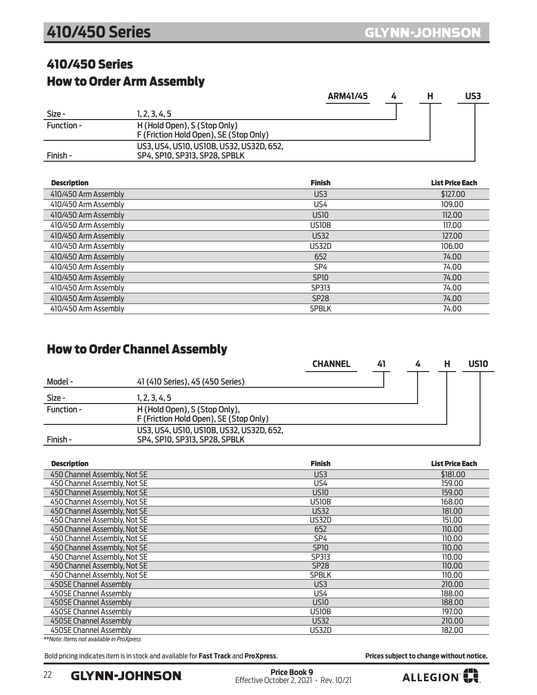### <span id="page-21-0"></span>410/450 Series How to Order Arm Assembly

|            |                                                                           | ARM41/45 |  | US3 |
|------------|---------------------------------------------------------------------------|----------|--|-----|
| Size -     | 1, 2, 3, 4, 5                                                             |          |  |     |
| Function - | H (Hold Open), S (Stop Only)<br>F (Friction Hold Open), SE (Stop Only)    |          |  |     |
| Finish -   | US3, US4, US10, US10B, US32, US32D, 652,<br>SP4, SP10, SP313, SP28, SPBLK |          |  |     |
|            |                                                                           |          |  |     |

| <b>Description</b>   | <b>Finish</b>   | <b>List Price Each</b> |
|----------------------|-----------------|------------------------|
| 410/450 Arm Assembly | US3             | \$127.00               |
| 410/450 Arm Assembly | US <sub>4</sub> | 109.00                 |
| 410/450 Arm Assembly | <b>US10</b>     | 112.00                 |
| 410/450 Arm Assembly | US10B           | 117.00                 |
| 410/450 Arm Assembly | <b>US32</b>     | 127.00                 |
| 410/450 Arm Assembly | US32D           | 106.00                 |
| 410/450 Arm Assembly | 652             | 74.00                  |
| 410/450 Arm Assembly | SP <sub>4</sub> | 74.00                  |
| 410/450 Arm Assembly | <b>SP10</b>     | 74.00                  |
| 410/450 Arm Assembly | SP313           | 74.00                  |
| 410/450 Arm Assembly | <b>SP28</b>     | 74.00                  |
| 410/450 Arm Assembly | <b>SPBLK</b>    | 74.00                  |

### How to Order Channel Assembly

|            |                                                                           | <b>CHANNEL</b> | 41 | 4 | <b>US10</b> |
|------------|---------------------------------------------------------------------------|----------------|----|---|-------------|
| Model -    | 41 (410 Series), 45 (450 Series)                                          |                |    |   |             |
| Size -     | 1, 2, 3, 4, 5                                                             |                |    |   |             |
| Function - | H (Hold Open), S (Stop Only),<br>F (Friction Hold Open), SE (Stop Only)   |                |    |   |             |
| Finish -   | US3, US4, US10, US10B, US32, US32D, 652,<br>SP4, SP10, SP313, SP28, SPBLK |                |    |   |             |

| <b>Description</b>           | <b>Finish</b>   | <b>List Price Each</b> |
|------------------------------|-----------------|------------------------|
| 450 Channel Assembly, Not SE | US3             | \$181.00               |
| 450 Channel Assembly, Not SE | US4             | 159.00                 |
| 450 Channel Assembly, Not SE | <b>US10</b>     | 159.00                 |
| 450 Channel Assembly, Not SE | US10B           | 168.00                 |
| 450 Channel Assembly, Not SE | <b>US32</b>     | 181.00                 |
| 450 Channel Assembly, Not SE | <b>US32D</b>    | 151.00                 |
| 450 Channel Assembly, Not SE | 652             | 110.00                 |
| 450 Channel Assembly, Not SE | SP <sub>4</sub> | 110.00                 |
| 450 Channel Assembly, Not SE | <b>SP10</b>     | 110.00                 |
| 450 Channel Assembly, Not SE | SP313           | 110.00                 |
| 450 Channel Assembly, Not SE | <b>SP28</b>     | 110.00                 |
| 450 Channel Assembly, Not SE | <b>SPBLK</b>    | 110.00                 |
| 450SE Channel Assembly       | US3             | 210.00                 |
| 450SE Channel Assembly       | US4             | 188.00                 |
| 450SE Channel Assembly       | <b>US10</b>     | 188.00                 |
| 450SE Channel Assembly       | US10B           | 197.00                 |
| 450SE Channel Assembly       | <b>US32</b>     | 210.00                 |
| 450SE Channel Assembly       | US32D           | 182.00                 |
|                              |                 |                        |

*\*\*Note: Items not available in ProXpress*

Bold pricing indicates item is in stock and available for **Fast Track** and **ProXpress**. **Prices subject to change without notice.** 

Effective October 2, 2021 • Rev. 10/21

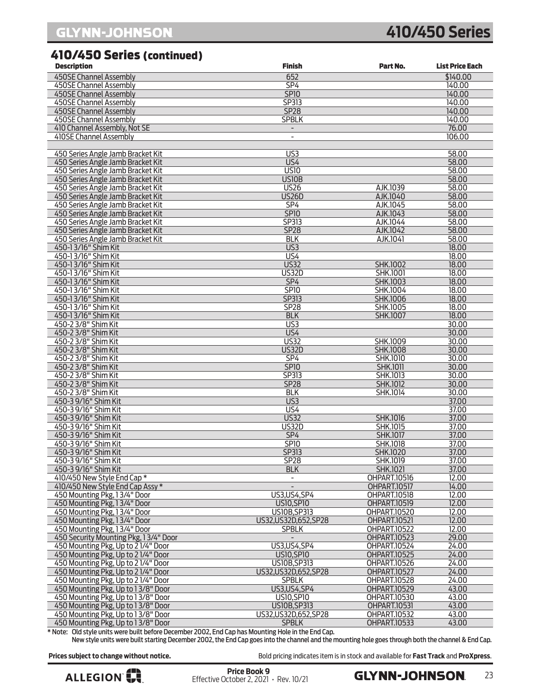## **410/450 Series**

### 410/450 Series (continued)

| <b>Description</b>                                       | <b>Finish</b>                    | Part No.                    | <b>List Price Each</b> |
|----------------------------------------------------------|----------------------------------|-----------------------------|------------------------|
| 450SE Channel Assembly                                   | 652                              |                             | \$140.00               |
| 450SE Channel Assembly                                   | SP4                              |                             | 140.00                 |
| 450SE Channel Assembly                                   | SPIO                             |                             | 140.00                 |
| 450SE Channel Assembly                                   | <b>SP313</b>                     |                             | 140.00                 |
| 450SE Channel Assembly                                   | <b>SP28</b>                      |                             | 140.00                 |
| 450SE Channel Assembly                                   | <b>SPBLK</b>                     |                             | 140.00                 |
| 410 Channel Assembly, Not SE                             | $\overline{\phantom{a}}$         |                             | 76.00                  |
| 410SE Channel Assembly                                   | $\overline{\phantom{a}}$         |                             | 106.00                 |
|                                                          |                                  |                             |                        |
| 450 Series Angle Jamb Bracket Kit                        | US3                              |                             | 58.00                  |
| 450 Series Angle Jamb Bracket Kit                        | US <sub>4</sub>                  |                             | 58.00                  |
| 450 Series Angle Jamb Bracket Kit                        | <b>US10</b>                      |                             | 58.00                  |
| 450 Series Angle Jamb Bracket Kit                        | <b>US10B</b>                     |                             | 58.00                  |
| 450 Series Angle Jamb Bracket Kit                        | <b>US26</b>                      | AJK.1039                    | 58.00                  |
| 450 Series Angle Jamb Bracket Kit                        | <b>US26D</b>                     | AJK.1040                    | 58.00                  |
| 450 Series Angle Jamb Bracket Kit                        | SP4                              | AJK.1045                    | 58.00                  |
| 450 Series Angle Jamb Bracket Kit                        | <b>SP10</b>                      | AJK.1043                    | 58.00                  |
| 450 Series Angle Jamb Bracket Kit                        | <b>SP313</b>                     | AJK.1044                    | 58.00                  |
| 450 Series Angle Jamb Bracket Kit                        | <b>SP28</b><br><b>BLK</b>        | AJK.1042                    | 58.00                  |
| 450 Series Angle Jamb Bracket Kit<br>450-13/16" Shim Kit | US3                              | AJK.1041                    | 58.00<br>18.00         |
| 450-13/16" Shim Kit                                      | $\overline{US4}$                 |                             | 18.00                  |
| 450-13/16" Shim Kit                                      | <b>US32</b>                      | <b>SHK.1002</b>             | 18.00                  |
| 450-13/16" Shim Kit                                      | US32D                            | SHK.1001                    | 18.00                  |
| 450-13/16" Shim Kit                                      | SP4                              | SHK.1003                    | 18.00                  |
| 450-13/16" Shim Kit                                      | <b>SP10</b>                      | SHK.1004                    | 18.00                  |
| 450-13/16" Shim Kit                                      | <b>SP313</b>                     | <b>SHK.1006</b>             | 18.00                  |
| 450-13/16" Shim Kit                                      | <b>SP28</b>                      | SHK.1005                    | 18.00                  |
| 450-13/16" Shim Kit                                      | <b>BLK</b>                       | <b>SHK.1007</b>             | 18.00                  |
| 450-2 3/8" Shim Kit                                      | $\overline{US3}$                 |                             | 30.00                  |
| 450-2 3/8" Shim Kit                                      | US <sub>4</sub>                  |                             | 30.00                  |
| 450-2 3/8" Shim Kit                                      | $\overline{US32}$                | <b>SHK.1009</b>             | 30.00                  |
| 450-2 3/8" Shim Kit                                      | <b>US32D</b>                     | <b>SHK.1008</b>             | 30.00                  |
| 450-2 3/8" Shim Kit                                      | SP4                              | SHK.1010                    | 30.00                  |
| 450-2 3/8" Shim Kit                                      | <b>SP10</b>                      | SHK.1011                    | 30.00                  |
| 450-2 3/8" Shim Kit                                      | SP313                            | SHK.1013                    | 30.00                  |
| 450-2 3/8" Shim Kit                                      | <b>SP28</b>                      | SHK.1012                    | 30.00                  |
| 450-2 3/8" Shim Kit                                      | <b>BLK</b>                       | SHK.1014                    | 30.00                  |
| 450-3 9/16" Shim Kit                                     | $\overline{US3}$                 |                             | 37.00                  |
| 450-3 9/16" Shim Kit                                     | $\overline{US4}$                 |                             | 37.00                  |
| 450-3 9/16" Shim Kit                                     | $\overline{US32}$                | SHK.1016                    | 37.00                  |
| 450-3 9/16" Shim Kit                                     | <b>US32D</b>                     | SHK.1015                    | 37.00                  |
| 450-3 9/16" Shim Kit                                     | SP4                              | <b>SHK.1017</b>             | 37.00                  |
| 450-3 9/16" Shim Kit                                     | <b>SP10</b>                      | <b>SHK.1018</b>             | 37.00                  |
| 450-3 9/16" Shim Kit<br>450-3 9/16" Shim Kit             | <b>SP313</b><br>SP <sub>28</sub> | <b>SHK.1020</b><br>SHK.1019 | 37.00<br>37.00         |
| 450-3 9/16" Shim Kit                                     | <b>BLK</b>                       | SHK.1021                    | 37.00                  |
| 410/450 New Style End Cap*                               | $\overline{\phantom{a}}$         | OHPART.10516                | 12.00                  |
| 410/450 New Style End Cap Assy *                         | $\overline{\phantom{a}}$         | <b>OHPART.10517</b>         | 14.00                  |
| 450 Mounting Pkg, 13/4" Door                             | US3,US4,SP4                      | OHPART.10518                | 12.00                  |
| 450 Mounting Pkg, 13/4" Door                             | <b>US10, SP10</b>                | <b>OHPART.10519</b>         | 12.00                  |
| 450 Mounting Pkg, 13/4" Door                             | <b>US10B, SP313</b>              | <b>OHPART.10520</b>         | 12.00                  |
| 450 Mounting Pkg, 13/4" Door                             | US32, US32D, 652, SP28           | <b>OHPART.10521</b>         | 12.00                  |
| 450 Mounting Pkg, 13/4" Door                             | <b>SPBLK</b>                     | <b>OHPART.10522</b>         | 12.00                  |
| 450 Security Mounting Pkg, 13/4" Door                    |                                  | <b>OHPART.10523</b>         | 29.00                  |
| 450 Mounting Pkg, Up to 21/4" Door                       | <b>US3, US4, SP4</b>             | OHPART.10524                | 24.00                  |
| 450 Mounting Pkg, Up to 2 1/4" Door                      | <b>US10, SP10</b>                | <b>OHPART.10525</b>         | 24.00                  |
| 450 Mounting Pkg, Up to 21/4" Door                       | <b>US10B, SP313</b>              | OHPART.10526                | 24.00                  |
| 450 Mounting Pkg, Up to 21/4" Door                       | US32, US32D, 652, SP28           | <b>OHPART.10527</b>         | 24.00                  |
| 450 Mounting Pkg, Up to 21/4" Door                       | <b>SPBLK</b>                     | OHPART.10528                | 24.00                  |
| 450 Mounting Pkg, Up to 13/8" Door                       | <b>US3, US4, SP4</b>             | OHPART.10529                | 43.00                  |
| 450 Mounting Pkg, Up to 13/8" Door                       | <b>US10, SP10</b>                | OHPART.10530                | 43.00                  |
| 450 Mounting Pkg, Up to 13/8" Door                       | <b>US10B, SP313</b>              | <b>OHPART.10531</b>         | 43.00                  |
| 450 Mounting Pkg, Up to 13/8" Door                       | US32, US32D, 652, SP28           | OHPART.10532                | 43.00                  |
| 450 Mounting Pkg, Up to 13/8" Door                       | <b>SPBLK</b>                     | <b>OHPART.10533</b>         | 43.00                  |

\* Note: Old style units were built before December 2002, End Cap has Mounting Hole in the End Cap. New style units were built starting December 2002, the End Cap goes into the channel and the mounting hole goes through both the channel & End Cap.

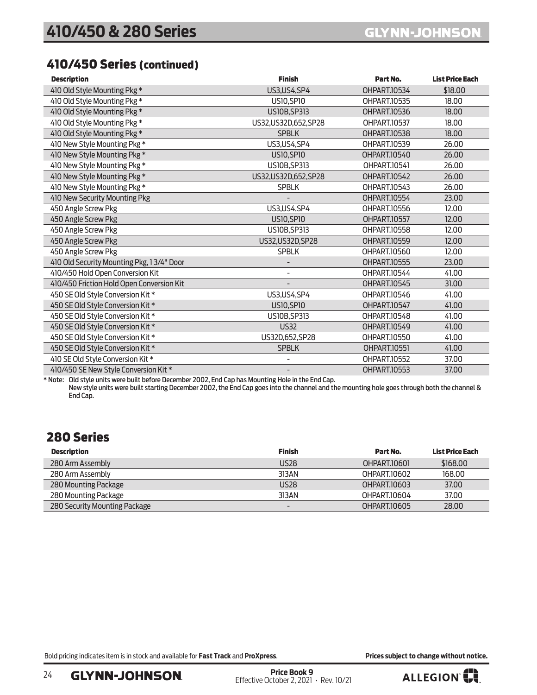### <span id="page-23-0"></span>410/450 Series (continued)

| <b>Description</b>                        | <b>Finish</b>          | Part No.            | <b>List Price Each</b> |
|-------------------------------------------|------------------------|---------------------|------------------------|
| 410 Old Style Mounting Pkg *              | <b>US3, US4, SP4</b>   | OHPART.10534        | \$18.00                |
| 410 Old Style Mounting Pkg *              | <b>US10, SP10</b>      | OHPART.10535        | 18.00                  |
| 410 Old Style Mounting Pkg *              | <b>US10B, SP313</b>    | OHPART.10536        | 18.00                  |
| 410 Old Style Mounting Pkg *              | US32, US32D, 652, SP28 | OHPART.10537        | 18.00                  |
| 410 Old Style Mounting Pkg *              | <b>SPBLK</b>           | <b>OHPART.10538</b> | 18.00                  |
| 410 New Style Mounting Pkg *              | US3,US4,SP4            | OHPART.10539        | 26.00                  |
| 410 New Style Mounting Pkg *              | <b>US10, SP10</b>      | <b>OHPART.10540</b> | 26.00                  |
| 410 New Style Mounting Pkg *              | <b>US10B, SP313</b>    | OHPART.10541        | 26.00                  |
| 410 New Style Mounting Pkg *              | US32, US32D, 652, SP28 | <b>OHPART.10542</b> | 26.00                  |
| 410 New Style Mounting Pkg *              | <b>SPBLK</b>           | OHPART.10543        | 26.00                  |
| 410 New Security Mounting Pkg             |                        | OHPART.10554        | 23.00                  |
| 450 Angle Screw Pkg                       | US3, US4, SP4          | OHPART.10556        | 12.00                  |
| 450 Angle Screw Pkg                       | <b>US10, SP10</b>      | <b>OHPART.10557</b> | 12.00                  |
| 450 Angle Screw Pkg                       | <b>US10B, SP313</b>    | <b>OHPART.10558</b> | 12.00                  |
| 450 Angle Screw Pkg                       | US32, US32D, SP28      | <b>OHPART.10559</b> | 12.00                  |
| 450 Angle Screw Pkg                       | <b>SPBLK</b>           | OHPART.10560        | 12.00                  |
| 410 Old Security Mounting Pkg, 13/4" Door |                        | <b>OHPART.10555</b> | 23.00                  |
| 410/450 Hold Open Conversion Kit          |                        | OHPART.10544        | 41.00                  |
| 410/450 Friction Hold Open Conversion Kit |                        | <b>OHPART.10545</b> | 31.00                  |
| 450 SE Old Style Conversion Kit *         | US3, US4, SP4          | OHPART.10546        | 41.00                  |
| 450 SE Old Style Conversion Kit *         | <b>US10, SP10</b>      | OHPART.10547        | 41.00                  |
| 450 SE Old Style Conversion Kit *         | <b>US10B, SP313</b>    | OHPART.10548        | 41.00                  |
| 450 SE Old Style Conversion Kit *         | <b>US32</b>            | OHPART.10549        | 41.00                  |
| 450 SE Old Style Conversion Kit *         | US32D,652,SP28         | <b>OHPART.10550</b> | 41.00                  |
| 450 SE Old Style Conversion Kit *         | <b>SPBLK</b>           | <b>OHPART.10551</b> | 41.00                  |
| 410 SE Old Style Conversion Kit *         |                        | OHPART.10552        | 37.00                  |
| 410/450 SE New Style Conversion Kit *     |                        | <b>OHPART.10553</b> | 37.00                  |

\* Note: Old style units were built before December 2002, End Cap has Mounting Hole in the End Cap. New style units were built starting December 2002, the End Cap goes into the channel and the mounting hole goes through both the channel & End Cap.

### 280 Series

| Description                   | <b>Finish</b> | Part No.     | <b>List Price Each</b> |
|-------------------------------|---------------|--------------|------------------------|
| 280 Arm Assembly              | <b>US28</b>   | OHPART.10601 | \$168,00               |
| 280 Arm Assembly              | 313AN         | OHPART10602  | 168.00                 |
| 280 Mounting Package          | <b>US28</b>   | OHPART.10603 | 37.00                  |
| 280 Mounting Package          | 313AN         | OHPART.10604 | 37.00                  |
| 280 Security Mounting Package | -             | OHPART.10605 | 28,00                  |

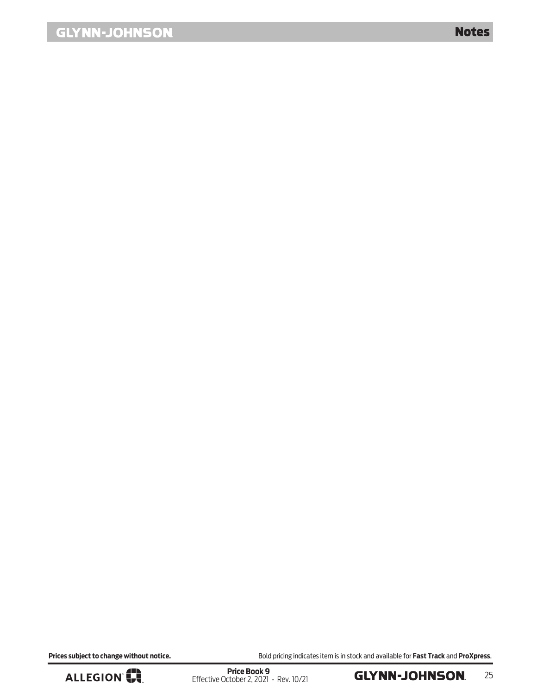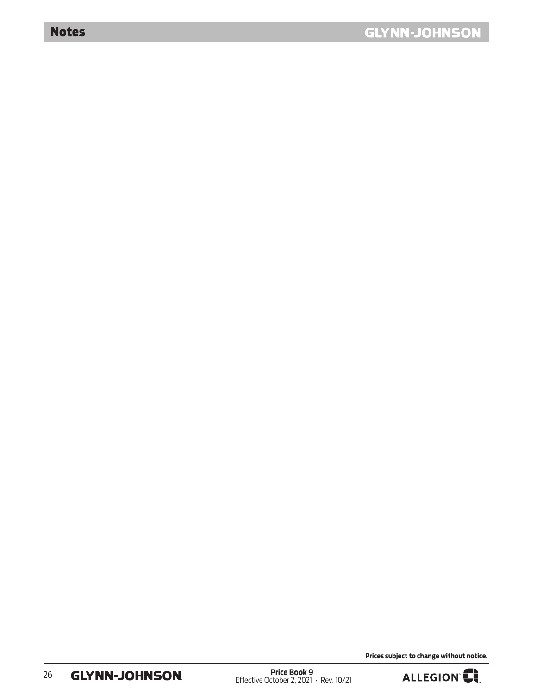**Prices subject to change without notice.**

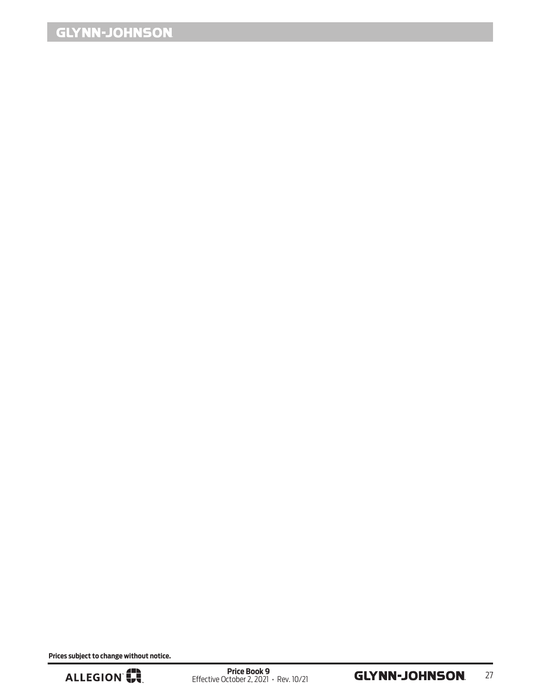## **GLYNN-JOHNSON**

 **Prices subject to change without notice.**